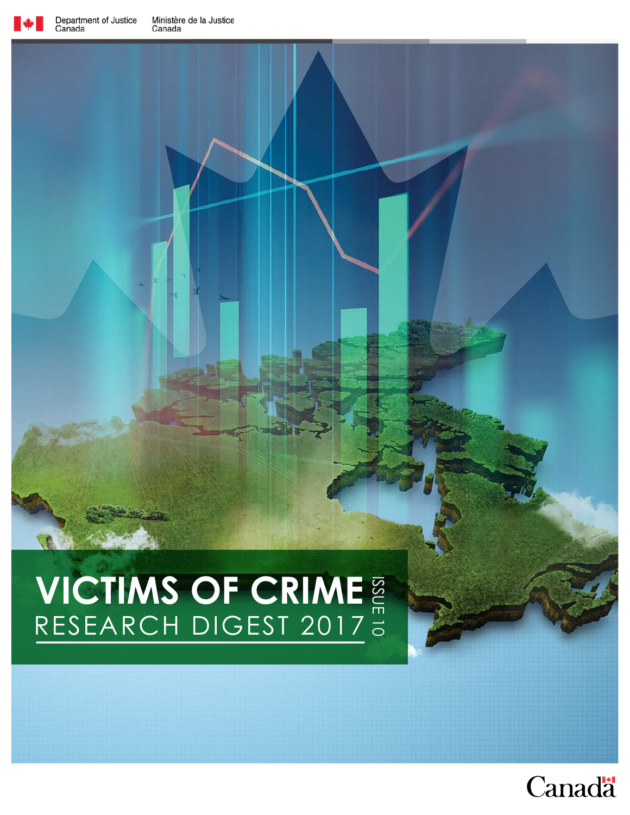

# **VICTIMS OF CRIME VICTIMS OF CRIME**

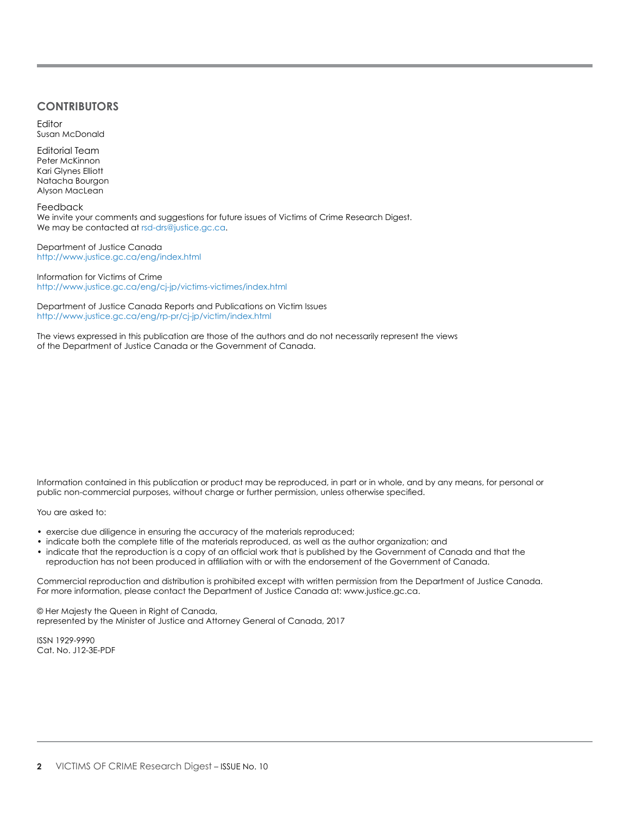#### **CONTRIBUTORS**

Editor Susan McDonald

Editorial Team Peter McKinnon Kari Glynes Elliott Natacha Bourgon Alyson MacLean

Feedback We invite your comments and suggestions for future issues of Victims of Crime Research Digest. We may be contacted at rsd-drs@justice.gc.ca.

Department of Justice Canada http://www.justice.gc.ca/eng/index.html

Information for Victims of Crime http://www.justice.gc.ca/eng/cj-jp/victims-victimes/index.html

Department of Justice Canada Reports and Publications on Victim Issues http://www.justice.gc.ca/eng/rp-pr/cj-jp/victim/index.html

The views expressed in this publication are those of the authors and do not necessarily represent the views of the Department of Justice Canada or the Government of Canada.

Information contained in this publication or product may be reproduced, in part or in whole, and by any means, for personal or public non-commercial purposes, without charge or further permission, unless otherwise specified.

You are asked to:

- exercise due diligence in ensuring the accuracy of the materials reproduced;
- indicate both the complete title of the materials reproduced, as well as the author organization; and
- indicate that the reproduction is a copy of an official work that is published by the Government of Canada and that the reproduction has not been produced in affiliation with or with the endorsement of the Government of Canada.

Commercial reproduction and distribution is prohibited except with written permission from the Department of Justice Canada. For more information, please contact the Department of Justice Canada at: www.justice.gc.ca.

© Her Majesty the Queen in Right of Canada, represented by the Minister of Justice and Attorney General of Canada, 2017

ISSN 1929-9990 Cat. No. J12-3E-PDF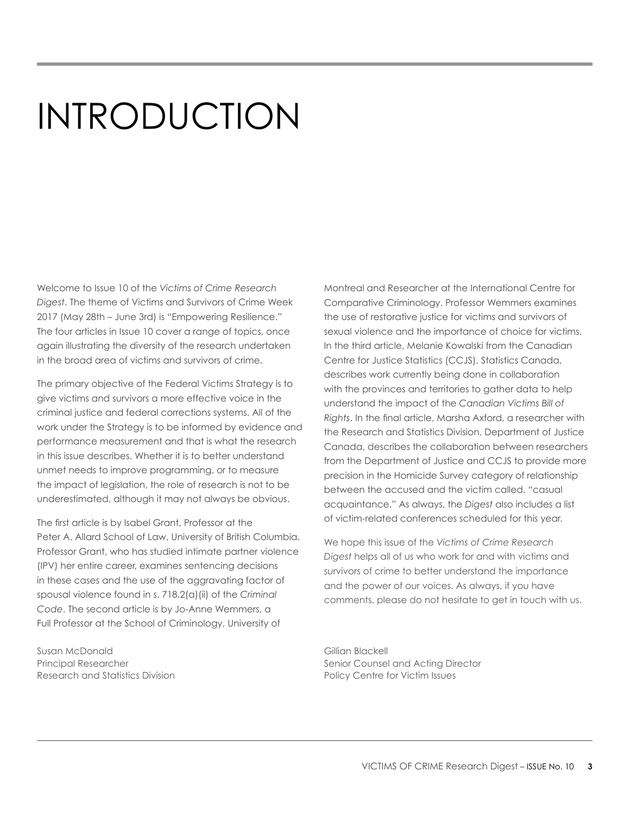# INTRODUCTION

Welcome to Issue 10 of the *Victims of Crime Research Digest*. The theme of Victims and Survivors of Crime Week 2017 (May 28th – June 3rd) is "Empowering Resilience." The four articles in Issue 10 cover a range of topics, once again illustrating the diversity of the research undertaken in the broad area of victims and survivors of crime.

The primary objective of the Federal Victims Strategy is to give victims and survivors a more effective voice in the criminal justice and federal corrections systems. All of the work under the Strategy is to be informed by evidence and performance measurement and that is what the research in this issue describes. Whether it is to better understand unmet needs to improve programming, or to measure the impact of legislation, the role of research is not to be underestimated, although it may not always be obvious.

The first article is by Isabel Grant, Professor at the Peter A. Allard School of Law, University of British Columbia. Professor Grant, who has studied intimate partner violence (IPV) her entire career, examines sentencing decisions in these cases and the use of the aggravating factor of spousal violence found in s. 718.2(a)(ii) of the *Criminal Code*. The second article is by Jo-Anne Wemmers, a Full Professor at the School of Criminology, University of

Susan McDonald Gillian Blackell Research and Statistics Division **Policy Centre for Victim Issues** Policy Centre for Victim Issues

Montreal and Researcher at the International Centre for Comparative Criminology. Professor Wemmers examines the use of restorative justice for victims and survivors of sexual violence and the importance of choice for victims. In the third article, Melanie Kowalski from the Canadian Centre for Justice Statistics (CCJS), Statistics Canada, describes work currently being done in collaboration with the provinces and territories to gather data to help understand the impact of the *Canadian Victims Bill of Rights*. In the final article, Marsha Axford, a researcher with the Research and Statistics Division, Department of Justice Canada, describes the collaboration between researchers from the Department of Justice and CCJS to provide more precision in the Homicide Survey category of relationship between the accused and the victim called, "casual acquaintance." As always, the *Digest* also includes a list of victim-related conferences scheduled for this year.

We hope this issue of the *Victims of Crime Research Digest* helps all of us who work for and with victims and survivors of crime to better understand the importance and the power of our voices. As always, if you have comments, please do not hesitate to get in touch with us.

Principal Researcher Senior Counsel and Acting Director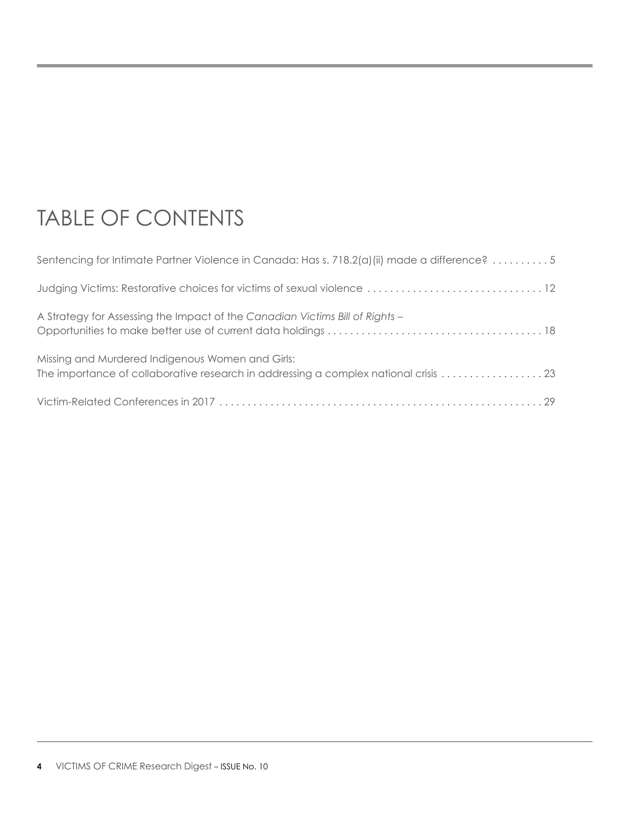# TABLE OF CONTENTS

| Sentencing for Intimate Partner Violence in Canada: Has s. 718.2(a) (ii) made a difference? 5 |
|-----------------------------------------------------------------------------------------------|
|                                                                                               |
| A Strategy for Assessing the Impact of the Canadian Victims Bill of Rights -                  |
| Missing and Murdered Indigenous Women and Girls:                                              |
|                                                                                               |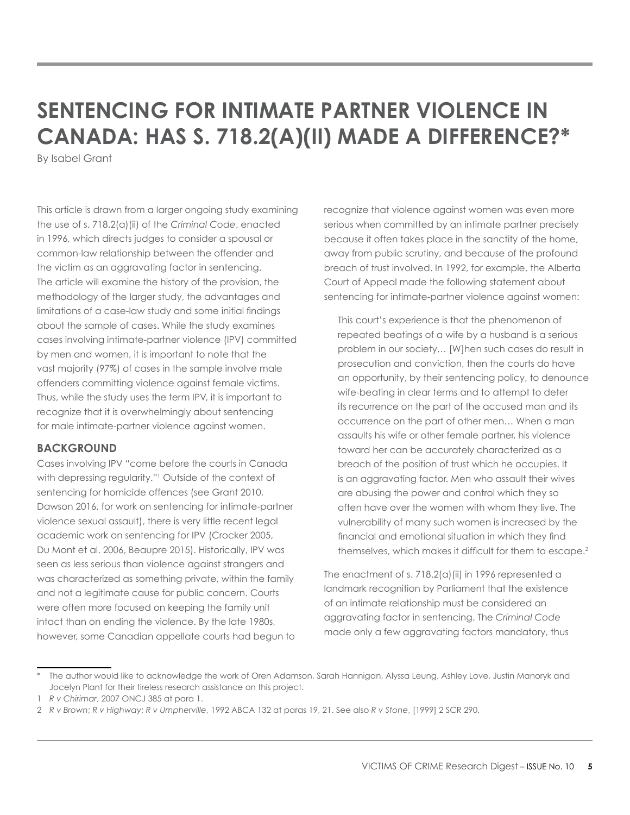# <span id="page-4-0"></span>**SENTENCING FOR INTIMATE PARTNER VIOLENCE IN CANADA: HAS S. 718.2(A)(II) MADE A DIFFERENCE?\***

By Isabel Grant

This article is drawn from a larger ongoing study examining the use of s. 718.2(a)(ii) of the *Criminal Code*, enacted in 1996, which directs judges to consider a spousal or common-law relationship between the offender and the victim as an aggravating factor in sentencing. The article will examine the history of the provision, the methodology of the larger study, the advantages and limitations of a case-law study and some initial findings about the sample of cases. While the study examines cases involving intimate-partner violence (IPV) committed by men and women, it is important to note that the vast majority (97%) of cases in the sample involve male offenders committing violence against female victims. Thus, while the study uses the term IPV, it is important to recognize that it is overwhelmingly about sentencing for male intimate-partner violence against women.

# **BACKGROUND**

Cases involving IPV "come before the courts in Canada with depressing regularity."1 Outside of the context of sentencing for homicide offences (see Grant 2010, Dawson 2016, for work on sentencing for intimate-partner violence sexual assault), there is very little recent legal academic work on sentencing for IPV (Crocker 2005, Du Mont et al. 2006, Beaupre 2015). Historically, IPV was seen as less serious than violence against strangers and was characterized as something private, within the family and not a legitimate cause for public concern. Courts were often more focused on keeping the family unit intact than on ending the violence. By the late 1980s, however, some Canadian appellate courts had begun to recognize that violence against women was even more serious when committed by an intimate partner precisely because it often takes place in the sanctity of the home, away from public scrutiny, and because of the profound breach of trust involved. In 1992, for example, the Alberta Court of Appeal made the following statement about sentencing for intimate-partner violence against women:

This court's experience is that the phenomenon of repeated beatings of a wife by a husband is a serious problem in our society… [W]hen such cases do result in prosecution and conviction, then the courts do have an opportunity, by their sentencing policy, to denounce wife-beating in clear terms and to attempt to deter its recurrence on the part of the accused man and its occurrence on the part of other men… When a man assaults his wife or other female partner, his violence toward her can be accurately characterized as a breach of the position of trust which he occupies. It is an aggravating factor. Men who assault their wives are abusing the power and control which they so often have over the women with whom they live. The vulnerability of many such women is increased by the financial and emotional situation in which they find themselves, which makes it difficult for them to escape.<sup>2</sup>

The enactment of s.  $718.2(a)$  (ii) in 1996 represented a landmark recognition by Parliament that the existence of an intimate relationship must be considered an aggravating factor in sentencing. The *Criminal Code*  made only a few aggravating factors mandatory, thus

The author would like to acknowledge the work of Oren Adamson, Sarah Hannigan, Alyssa Leung, Ashley Love, Justin Manoryk and Jocelyn Plant for their tireless research assistance on this project.

<sup>1</sup> *R v Chirimar*, 2007 ONCJ 385 at para 1.

<sup>2</sup> *R v Brown*; *R v Highway*; *R v Umpherville*, 1992 ABCA 132 at paras 19, 21. See also *R v Stone*, [1999] 2 SCR 290.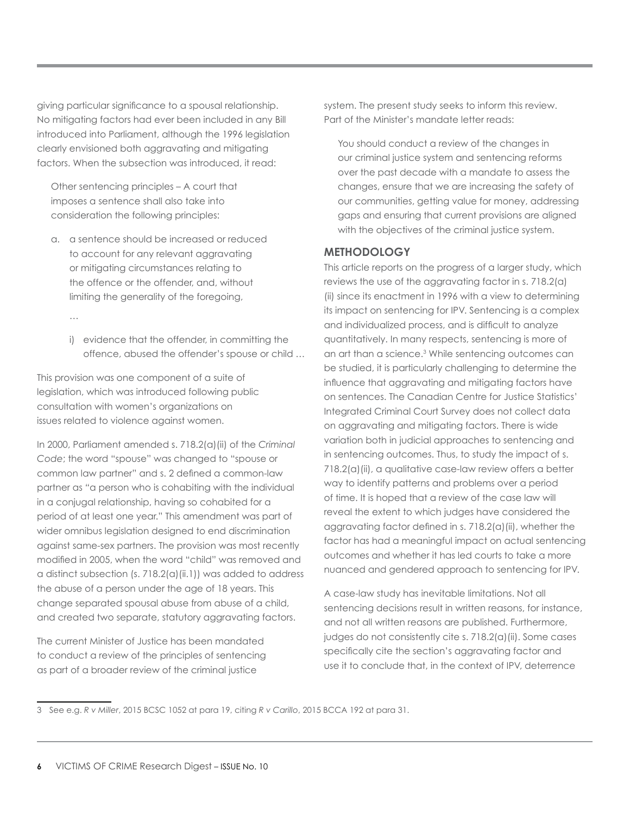giving particular significance to a spousal relationship. No mitigating factors had ever been included in any Bill introduced into Parliament, although the 1996 legislation clearly envisioned both aggravating and mitigating factors. When the subsection was introduced, it read:

Other sentencing principles – A court that imposes a sentence shall also take into consideration the following principles:

- a. a sentence should be increased or reduced to account for any relevant aggravating or mitigating circumstances relating to the offence or the offender, and, without limiting the generality of the foregoing,
	- …
	- i) evidence that the offender, in committing the offence, abused the offender's spouse or child …

This provision was one component of a suite of legislation, which was introduced following public consultation with women's organizations on issues related to violence against women.

In 2000, Parliament amended s. 718.2(a)(ii) of the *Criminal Code*; the word "spouse" was changed to "spouse or common law partner" and s. 2 defined a common-law partner as *"*a person who is cohabiting with the individual in a conjugal relationship, having so cohabited for a period of at least one year." This amendment was part of wider omnibus legislation designed to end discrimination against same-sex partners. The provision was most recently modified in 2005, when the word "child" was removed and a distinct subsection (s. 718.2(a)(ii.1)) was added to address the abuse of a person under the age of 18 years. This change separated spousal abuse from abuse of a child, and created two separate, statutory aggravating factors.

The current Minister of Justice has been mandated to conduct a review of the principles of sentencing as part of a broader review of the criminal justice

system. The present study seeks to inform this review. Part of the Minister's mandate letter reads:

You should conduct a review of the changes in our criminal justice system and sentencing reforms over the past decade with a mandate to assess the changes, ensure that we are increasing the safety of our communities, getting value for money, addressing gaps and ensuring that current provisions are aligned with the objectives of the criminal justice system.

# **METHODOLOGY**

This article reports on the progress of a larger study, which reviews the use of the aggravating factor in s. 718.2(a) (ii) since its enactment in 1996 with a view to determining its impact on sentencing for IPV. Sentencing is a complex and individualized process, and is difficult to analyze quantitatively. In many respects, sentencing is more of an art than a science.3 While sentencing outcomes can be studied, it is particularly challenging to determine the influence that aggravating and mitigating factors have on sentences. The Canadian Centre for Justice Statistics' Integrated Criminal Court Survey does not collect data on aggravating and mitigating factors. There is wide variation both in judicial approaches to sentencing and in sentencing outcomes. Thus, to study the impact of s. 718.2(a)(ii), a qualitative case-law review offers a better way to identify patterns and problems over a period of time. It is hoped that a review of the case law will reveal the extent to which judges have considered the aggravating factor defined in s.  $718.2(a)(ii)$ , whether the factor has had a meaningful impact on actual sentencing outcomes and whether it has led courts to take a more nuanced and gendered approach to sentencing for IPV.

A case-law study has inevitable limitations. Not all sentencing decisions result in written reasons, for instance, and not all written reasons are published. Furthermore, judges do not consistently cite s. 718.2(a)(ii). Some cases specifically cite the section's aggravating factor and use it to conclude that, in the context of IPV, deterrence

<sup>3</sup> See e.g. *R v Miller*, 2015 BCSC 1052 at para 19, citing *R v Carillo*, 2015 BCCA 192 at para 31.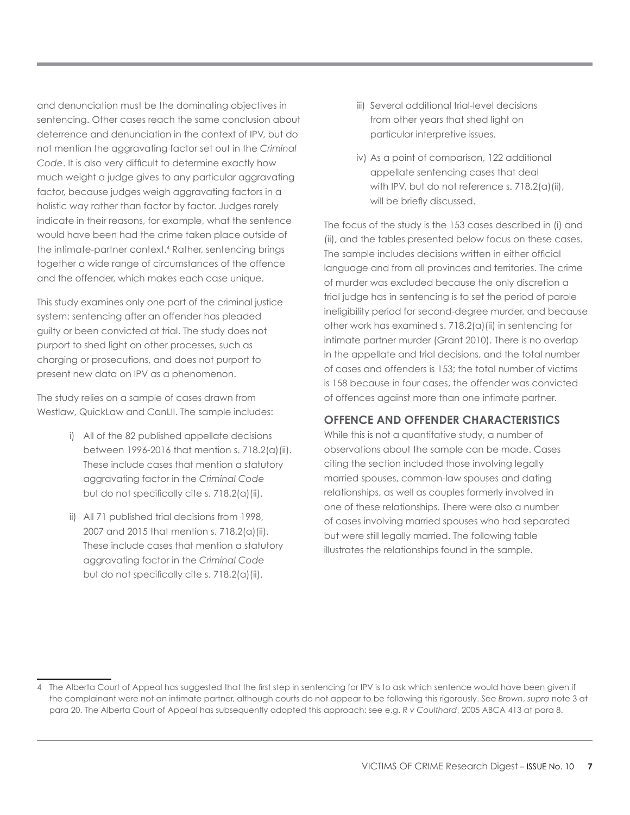and denunciation must be the dominating objectives in sentencing. Other cases reach the same conclusion about deterrence and denunciation in the context of IPV, but do not mention the aggravating factor set out in the *Criminal Code*. It is also very difficult to determine exactly how much weight a judge gives to any particular aggravating factor, because judges weigh aggravating factors in a holistic way rather than factor by factor. Judges rarely indicate in their reasons, for example, what the sentence would have been had the crime taken place outside of the intimate-partner context.<sup>4</sup> Rather, sentencing brings together a wide range of circumstances of the offence and the offender, which makes each case unique.

This study examines only one part of the criminal justice system: sentencing after an offender has pleaded guilty or been convicted at trial. The study does not purport to shed light on other processes, such as charging or prosecutions, and does not purport to present new data on IPV as a phenomenon.

The study relies on a sample of cases drawn from Westlaw, QuickLaw and CanLII. The sample includes:

- i) All of the 82 published appellate decisions between 1996-2016 that mention s. 718.2(a)(ii). These include cases that mention a statutory aggravating factor in the *Criminal Code* but do not specifically cite s. 718.2(a)(ii).
- ii) All 71 published trial decisions from 1998, 2007 and 2015 that mention s. 718.2(a)(ii). These include cases that mention a statutory aggravating factor in the *Criminal Code* but do not specifically cite s. 718.2(a)(ii).
- iii) Several additional trial-level decisions from other years that shed light on particular interpretive issues.
- iv) As a point of comparison, 122 additional appellate sentencing cases that deal with IPV, but do not reference s. 718.2(a)(ii), will be briefly discussed.

The focus of the study is the 153 cases described in (i) and (ii), and the tables presented below focus on these cases. The sample includes decisions written in either official language and from all provinces and territories. The crime of murder was excluded because the only discretion a trial judge has in sentencing is to set the period of parole ineligibility period for second-degree murder, and because other work has examined s. 718.2(a)(ii) in sentencing for intimate partner murder (Grant 2010). There is no overlap in the appellate and trial decisions, and the total number of cases and offenders is 153; the total number of victims is 158 because in four cases, the offender was convicted of offences against more than one intimate partner.

# **OFFENCE AND OFFENDER CHARACTERISTICS**

While this is not a quantitative study, a number of observations about the sample can be made. Cases citing the section included those involving legally married spouses, common-law spouses and dating relationships, as well as couples formerly involved in one of these relationships. There were also a number of cases involving married spouses who had separated but were still legally married. The following table illustrates the relationships found in the sample.

<sup>4</sup> The Alberta Court of Appeal has suggested that the first step in sentencing for IPV is to ask which sentence would have been given if the complainant were not an intimate partner, although courts do not appear to be following this rigorously. See *Brown*, *supra* note 3 at para 20. The Alberta Court of Appeal has subsequently adopted this approach: see e.g. *R v Coulthard*, 2005 ABCA 413 at para 8.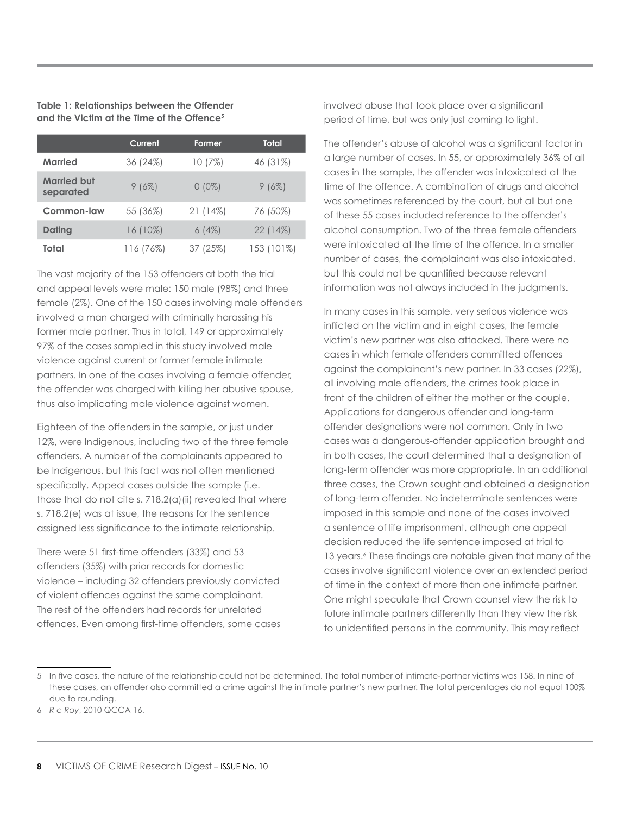#### **Table 1: Relationships between the Offender and the Victim at the Time of the Offence5**

|                                 | Current    | Former     | Total      |
|---------------------------------|------------|------------|------------|
| <b>Married</b>                  | 36(24%)    | 10(7%)     | 46 (31%)   |
| <b>Married but</b><br>separated | $9(6\%)$   | $0(0\%)$   | 9(6%)      |
| <b>Common-law</b>               | 55 (36%)   | $21(14\%)$ | 76 (50%)   |
| <b>Dating</b>                   | $16(10\%)$ | 6(4%)      | 22(14%)    |
| Total                           | 116 (76%)  | 37 (25%)   | 153 (101%) |

The vast majority of the 153 offenders at both the trial and appeal levels were male: 150 male (98%) and three female (2%). One of the 150 cases involving male offenders involved a man charged with criminally harassing his former male partner. Thus in total, 149 or approximately 97% of the cases sampled in this study involved male violence against current or former female intimate partners. In one of the cases involving a female offender, the offender was charged with killing her abusive spouse, thus also implicating male violence against women.

Eighteen of the offenders in the sample, or just under 12%, were Indigenous, including two of the three female offenders. A number of the complainants appeared to be Indigenous, but this fact was not often mentioned specifically. Appeal cases outside the sample (i.e. those that do not cite s. 718.2(a)(ii) revealed that where s. 718.2(e) was at issue, the reasons for the sentence assigned less significance to the intimate relationship.

There were 51 first-time offenders (33%) and 53 offenders (35%) with prior records for domestic violence – including 32 offenders previously convicted of violent offences against the same complainant. The rest of the offenders had records for unrelated offences. Even among first-time offenders, some cases involved abuse that took place over a significant period of time, but was only just coming to light.

The offender's abuse of alcohol was a significant factor in a large number of cases. In 55, or approximately 36% of all cases in the sample, the offender was intoxicated at the time of the offence. A combination of drugs and alcohol was sometimes referenced by the court, but all but one of these 55 cases included reference to the offender's alcohol consumption. Two of the three female offenders were intoxicated at the time of the offence. In a smaller number of cases, the complainant was also intoxicated, but this could not be quantified because relevant information was not always included in the judgments.

In many cases in this sample, very serious violence was inflicted on the victim and in eight cases, the female victim's new partner was also attacked. There were no cases in which female offenders committed offences against the complainant's new partner. In 33 cases (22%), all involving male offenders, the crimes took place in front of the children of either the mother or the couple. Applications for dangerous offender and long-term offender designations were not common. Only in two cases was a dangerous-offender application brought and in both cases, the court determined that a designation of long-term offender was more appropriate. In an additional three cases, the Crown sought and obtained a designation of long-term offender. No indeterminate sentences were imposed in this sample and none of the cases involved a sentence of life imprisonment, although one appeal decision reduced the life sentence imposed at trial to 13 years.<sup>6</sup> These findings are notable given that many of the cases involve significant violence over an extended period of time in the context of more than one intimate partner. One might speculate that Crown counsel view the risk to future intimate partners differently than they view the risk to unidentified persons in the community. This may reflect

<sup>5</sup> In five cases, the nature of the relationship could not be determined. The total number of intimate-partner victims was 158. In nine of these cases, an offender also committed a crime against the intimate partner's new partner. The total percentages do not equal 100% due to rounding.

<sup>6</sup> *R c Roy*, 2010 QCCA 16.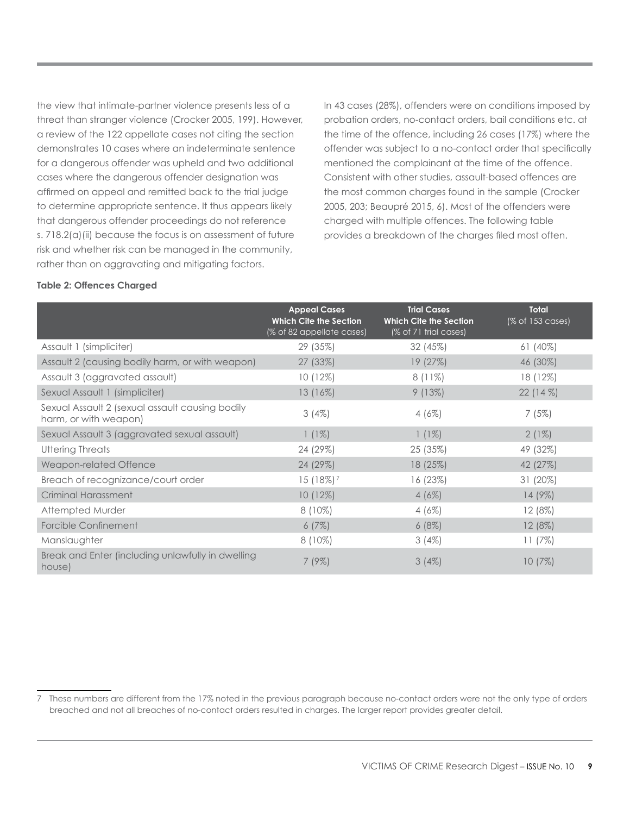the view that intimate-partner violence presents less of a threat than stranger violence (Crocker 2005, 199). However, a review of the 122 appellate cases not citing the section demonstrates 10 cases where an indeterminate sentence for a dangerous offender was upheld and two additional cases where the dangerous offender designation was affirmed on appeal and remitted back to the trial judge to determine appropriate sentence. It thus appears likely that dangerous offender proceedings do not reference s. 718.2(a)(ii) because the focus is on assessment of future risk and whether risk can be managed in the community, rather than on aggravating and mitigating factors.

In 43 cases (28%), offenders were on conditions imposed by probation orders, no-contact orders, bail conditions etc. at the time of the offence, including 26 cases (17%) where the offender was subject to a no-contact order that specifically mentioned the complainant at the time of the offence. Consistent with other studies, assault-based offences are the most common charges found in the sample (Crocker 2005, 203; Beaupré 2015, 6). Most of the offenders were charged with multiple offences. The following table provides a breakdown of the charges filed most often.

#### **Table 2: Offences Charged**

|                                                                          | <b>Appeal Cases</b><br><b>Which Cite the Section</b><br>(% of 82 appellate cases) | <b>Trial Cases</b><br><b>Which Cite the Section</b><br>(% of 71 trial cases) | <b>Total</b><br>(% of 153 cases) |
|--------------------------------------------------------------------------|-----------------------------------------------------------------------------------|------------------------------------------------------------------------------|----------------------------------|
| Assault 1 (simpliciter)                                                  | 29 (35%)                                                                          | 32(45%)                                                                      | $61(40\%)$                       |
| Assault 2 (causing bodily harm, or with weapon)                          | 27 (33%)                                                                          | 19(27%)                                                                      | 46 (30%)                         |
| Assault 3 (aggravated assault)                                           | 10(12%)                                                                           | $8(11\%)$                                                                    | 18 (12%)                         |
| Sexual Assault 1 (simpliciter)                                           | $13(16\%)$                                                                        | 9(13%)                                                                       | $22(14\%)$                       |
| Sexual Assault 2 (sexual assault causing bodily<br>harm, or with weapon) | 3(4%)                                                                             | $4(6\%)$                                                                     | 7(5%)                            |
| Sexual Assault 3 (aggravated sexual assault)                             | $1(1\%)$                                                                          | $1(1\%)$                                                                     | $2(1\%)$                         |
| Uttering Threats                                                         | 24 (29%)                                                                          | 25 (35%)                                                                     | 49 (32%)                         |
| Weapon-related Offence                                                   | 24 (29%)                                                                          | 18 (25%)                                                                     | 42(27%)                          |
| Breach of recognizance/court order                                       | 15 (18%) <sup>7</sup>                                                             | 16 (23%)                                                                     | $31(20\%)$                       |
| <b>Criminal Harassment</b>                                               | 10 (12%)                                                                          | $4(6\%)$                                                                     | $14(9\%)$                        |
| Attempted Murder                                                         | $8(10\%)$                                                                         | 4(6%)                                                                        | $12(8\%)$                        |
| Forcible Confinement                                                     | 6(7%)                                                                             | 6(8%)                                                                        | $12(8\%)$                        |
| Manslaughter                                                             | $8(10\%)$                                                                         | $3(4\%)$                                                                     | 11(7%)                           |
| Break and Enter (including unlawfully in dwelling<br>house)              | $7(9\%)$                                                                          | $3(4\%)$                                                                     | 10(7%)                           |

<sup>7</sup> These numbers are different from the 17% noted in the previous paragraph because no-contact orders were not the only type of orders breached and not all breaches of no-contact orders resulted in charges. The larger report provides greater detail.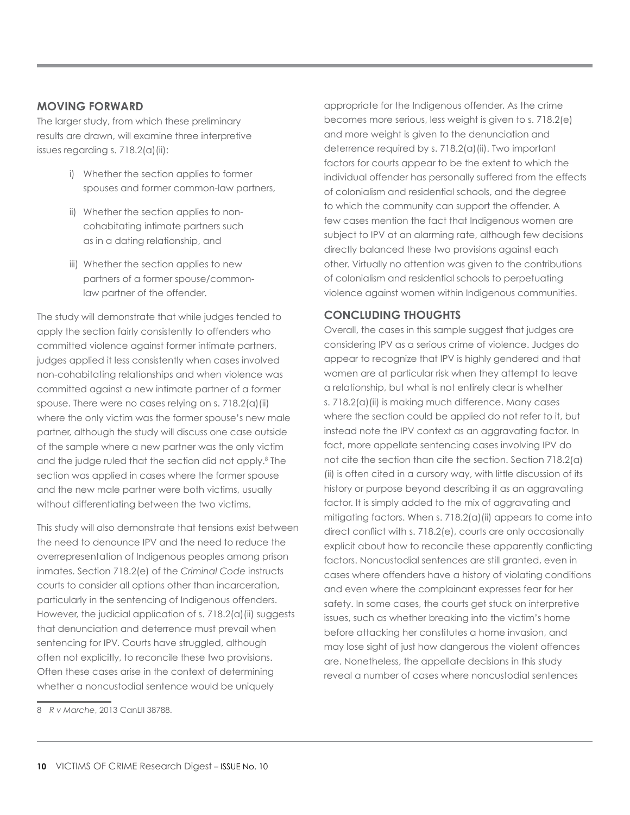#### **MOVING FORWARD**

The larger study, from which these preliminary results are drawn, will examine three interpretive issues regarding s. 718.2(a)(ii):

- i) Whether the section applies to former spouses and former common-law partners,
- ii) Whether the section applies to noncohabitating intimate partners such as in a dating relationship, and
- iii) Whether the section applies to new partners of a former spouse/commonlaw partner of the offender.

The study will demonstrate that while judges tended to apply the section fairly consistently to offenders who committed violence against former intimate partners, judges applied it less consistently when cases involved non-cohabitating relationships and when violence was committed against a new intimate partner of a former spouse. There were no cases relying on s. 718.2(a)(ii) where the only victim was the former spouse's new male partner, although the study will discuss one case outside of the sample where a new partner was the only victim and the judge ruled that the section did not apply.8 The section was applied in cases where the former spouse and the new male partner were both victims, usually without differentiating between the two victims.

This study will also demonstrate that tensions exist between the need to denounce IPV and the need to reduce the overrepresentation of Indigenous peoples among prison inmates. Section 718.2(e) of the *Criminal Code* instructs courts to consider all options other than incarceration, particularly in the sentencing of Indigenous offenders. However, the judicial application of s. 718.2(a)(ii) suggests that denunciation and deterrence must prevail when sentencing for IPV. Courts have struggled, although often not explicitly, to reconcile these two provisions. Often these cases arise in the context of determining whether a noncustodial sentence would be uniquely

appropriate for the Indigenous offender. As the crime becomes more serious, less weight is given to s. 718.2(e) and more weight is given to the denunciation and deterrence required by s. 718.2(a)(ii). Two important factors for courts appear to be the extent to which the individual offender has personally suffered from the effects of colonialism and residential schools, and the degree to which the community can support the offender. A few cases mention the fact that Indigenous women are subject to IPV at an alarming rate, although few decisions directly balanced these two provisions against each other. Virtually no attention was given to the contributions of colonialism and residential schools to perpetuating violence against women within Indigenous communities.

# **CONCLUDING THOUGHTS**

Overall, the cases in this sample suggest that judges are considering IPV as a serious crime of violence. Judges do appear to recognize that IPV is highly gendered and that women are at particular risk when they attempt to leave a relationship, but what is not entirely clear is whether s. 718.2(a)(ii) is making much difference. Many cases where the section could be applied do not refer to it, but instead note the IPV context as an aggravating factor. In fact, more appellate sentencing cases involving IPV do not cite the section than cite the section. Section 718.2(a) (ii) is often cited in a cursory way, with little discussion of its history or purpose beyond describing it as an aggravating factor. It is simply added to the mix of aggravating and mitigating factors. When s. 718.2(a)(ii) appears to come into direct conflict with s. 718.2(e), courts are only occasionally explicit about how to reconcile these apparently conflicting factors. Noncustodial sentences are still granted, even in cases where offenders have a history of violating conditions and even where the complainant expresses fear for her safety. In some cases, the courts get stuck on interpretive issues, such as whether breaking into the victim's home before attacking her constitutes a home invasion, and may lose sight of just how dangerous the violent offences are. Nonetheless, the appellate decisions in this study reveal a number of cases where noncustodial sentences

<sup>8</sup> *R v Marche*, 2013 CanLII 38788.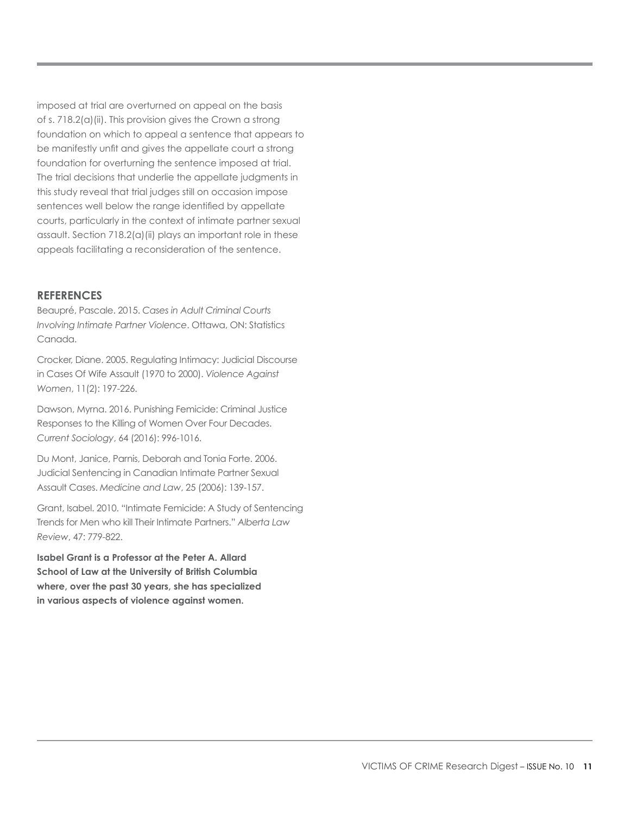imposed at trial are overturned on appeal on the basis of s. 718.2(a)(ii). This provision gives the Crown a strong foundation on which to appeal a sentence that appears to be manifestly unfit and gives the appellate court a strong foundation for overturning the sentence imposed at trial. The trial decisions that underlie the appellate judgments in this study reveal that trial judges still on occasion impose sentences well below the range identified by appellate courts, particularly in the context of intimate partner sexual assault. Section 718.2(a)(ii) plays an important role in these appeals facilitating a reconsideration of the sentence.

#### **REFERENCES**

Beaupré, Pascale. 2015. *Cases in Adult Criminal Courts Involving Intimate Partner Violence*. Ottawa, ON: Statistics Canada.

Crocker, Diane. 2005. Regulating Intimacy: Judicial Discourse in Cases Of Wife Assault (1970 to 2000). *Violence Against Women*, 11(2): 197-226.

Dawson, Myrna. 2016. Punishing Femicide: Criminal Justice Responses to the Killing of Women Over Four Decades. *Current Sociology*, 64 (2016): 996-1016.

Du Mont, Janice, Parnis, Deborah and Tonia Forte. 2006. Judicial Sentencing in Canadian Intimate Partner Sexual Assault Cases. *Medicine and Law*, 25 (2006): 139-157.

Grant, Isabel. 2010. "Intimate Femicide: A Study of Sentencing Trends for Men who kill Their Intimate Partners." *Alberta Law Review*, 47: 779-822.

**Isabel Grant is a Professor at the Peter A. Allard School of Law at the University of British Columbia where, over the past 30 years, she has specialized in various aspects of violence against women.**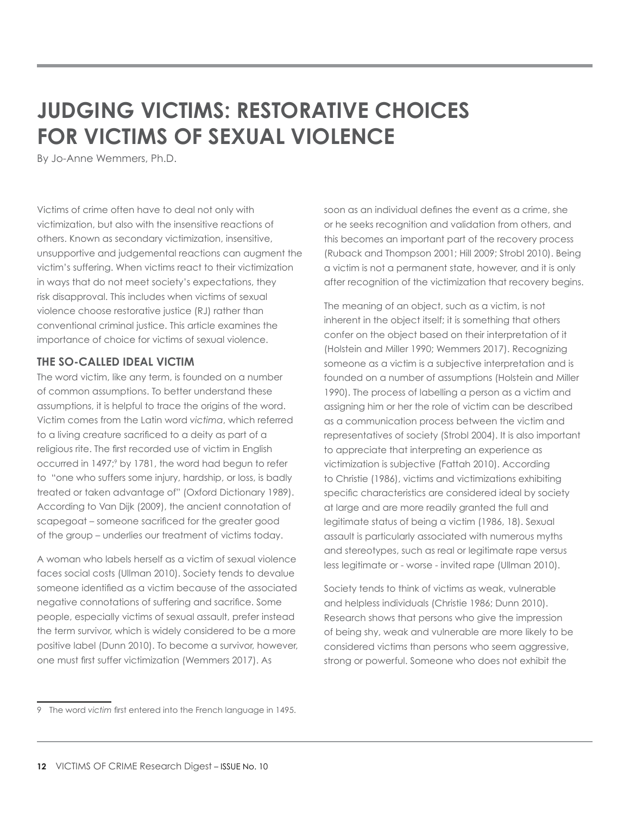# <span id="page-11-0"></span>**JUDGING VICTIMS: RESTORATIVE CHOICES FOR VICTIMS OF SEXUAL VIOLENCE**

By Jo-Anne Wemmers, Ph.D.

Victims of crime often have to deal not only with victimization, but also with the insensitive reactions of others. Known as secondary victimization, insensitive, unsupportive and judgemental reactions can augment the victim's suffering. When victims react to their victimization in ways that do not meet society's expectations, they risk disapproval. This includes when victims of sexual violence choose restorative justice (RJ) rather than conventional criminal justice. This article examines the importance of choice for victims of sexual violence.

# **THE SO-CALLED IDEAL VICTIM**

The word victim, like any term, is founded on a number of common assumptions. To better understand these assumptions, it is helpful to trace the origins of the word. Victim comes from the Latin word *victima*, which referred to a living creature sacrificed to a deity as part of a religious rite. The first recorded use of victim in English occurred in 1497;<sup>9</sup> by 1781, the word had begun to refer to "one who suffers some injury, hardship, or loss, is badly treated or taken advantage of" (Oxford Dictionary 1989). According to Van Dijk (2009), the ancient connotation of scapegoat – someone sacrificed for the greater good of the group – underlies our treatment of victims today.

A woman who labels herself as a victim of sexual violence faces social costs (Ullman 2010). Society tends to devalue someone identified as a victim because of the associated negative connotations of suffering and sacrifice. Some people, especially victims of sexual assault, prefer instead the term survivor, which is widely considered to be a more positive label (Dunn 2010). To become a survivor, however, one must first suffer victimization (Wemmers 2017). As

soon as an individual defines the event as a crime, she or he seeks recognition and validation from others, and this becomes an important part of the recovery process (Ruback and Thompson 2001; Hill 2009; Strobl 2010). Being a victim is not a permanent state, however, and it is only after recognition of the victimization that recovery begins.

The meaning of an object, such as a victim, is not inherent in the object itself; it is something that others confer on the object based on their interpretation of it (Holstein and Miller 1990; Wemmers 2017). Recognizing someone as a victim is a subjective interpretation and is founded on a number of assumptions (Holstein and Miller 1990). The process of labelling a person as a victim and assigning him or her the role of victim can be described as a communication process between the victim and representatives of society (Strobl 2004). It is also important to appreciate that interpreting an experience as victimization is subjective (Fattah 2010). According to Christie (1986), victims and victimizations exhibiting specific characteristics are considered ideal by society at large and are more readily granted the full and legitimate status of being a victim (1986, 18). Sexual assault is particularly associated with numerous myths and stereotypes, such as real or legitimate rape versus less legitimate or - worse - invited rape (Ullman 2010).

Society tends to think of victims as weak, vulnerable and helpless individuals (Christie 1986; Dunn 2010). Research shows that persons who give the impression of being shy, weak and vulnerable are more likely to be considered victims than persons who seem aggressive, strong or powerful. Someone who does not exhibit the

<sup>9</sup> The word *victim* first entered into the French language in 1495.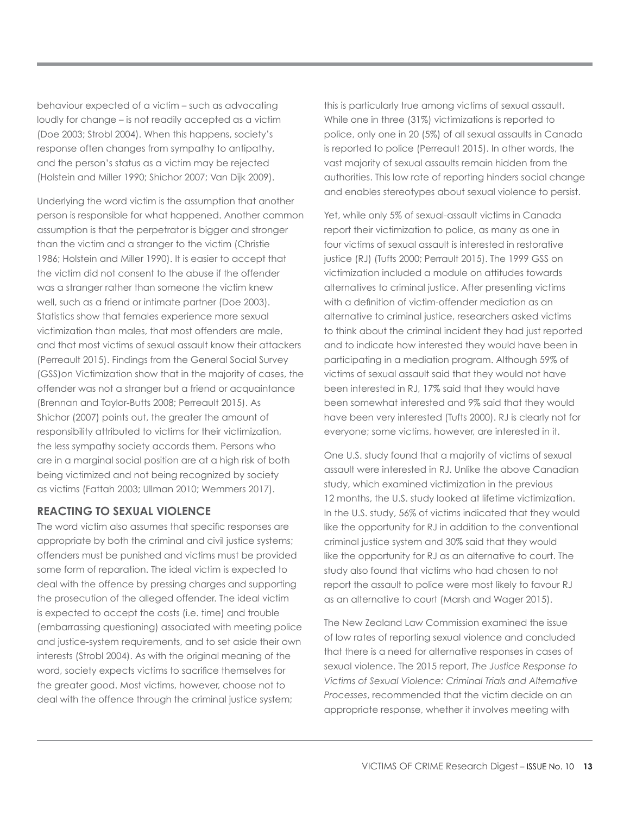behaviour expected of a victim – such as advocating loudly for change – is not readily accepted as a victim (Doe 2003; Strobl 2004). When this happens, society's response often changes from sympathy to antipathy, and the person's status as a victim may be rejected (Holstein and Miller 1990; Shichor 2007; Van Dijk 2009).

Underlying the word victim is the assumption that another person is responsible for what happened. Another common assumption is that the perpetrator is bigger and stronger than the victim and a stranger to the victim (Christie 1986; Holstein and Miller 1990). It is easier to accept that the victim did not consent to the abuse if the offender was a stranger rather than someone the victim knew well, such as a friend or intimate partner (Doe 2003). Statistics show that females experience more sexual victimization than males, that most offenders are male, and that most victims of sexual assault know their attackers (Perreault 2015). Findings from the General Social Survey (GSS)on Victimization show that in the majority of cases, the offender was not a stranger but a friend or acquaintance (Brennan and Taylor-Butts 2008; Perreault 2015). As Shichor (2007) points out, the greater the amount of responsibility attributed to victims for their victimization, the less sympathy society accords them. Persons who are in a marginal social position are at a high risk of both being victimized and not being recognized by society as victims (Fattah 2003; Ullman 2010; Wemmers 2017).

# **REACTING TO SEXUAL VIOLENCE**

The word victim also assumes that specific responses are appropriate by both the criminal and civil justice systems; offenders must be punished and victims must be provided some form of reparation. The ideal victim is expected to deal with the offence by pressing charges and supporting the prosecution of the alleged offender. The ideal victim is expected to accept the costs (i.e. time) and trouble (embarrassing questioning) associated with meeting police and justice-system requirements, and to set aside their own interests (Strobl 2004). As with the original meaning of the word, society expects victims to sacrifice themselves for the greater good. Most victims, however, choose not to deal with the offence through the criminal justice system;

this is particularly true among victims of sexual assault. While one in three (31%) victimizations is reported to police, only one in 20 (5%) of all sexual assaults in Canada is reported to police (Perreault 2015). In other words, the vast majority of sexual assaults remain hidden from the authorities. This low rate of reporting hinders social change and enables stereotypes about sexual violence to persist.

Yet, while only 5% of sexual-assault victims in Canada report their victimization to police, as many as one in four victims of sexual assault is interested in restorative justice (RJ) (Tufts 2000; Perrault 2015). The 1999 GSS on victimization included a module on attitudes towards alternatives to criminal justice. After presenting victims with a definition of victim-offender mediation as an alternative to criminal justice, researchers asked victims to think about the criminal incident they had just reported and to indicate how interested they would have been in participating in a mediation program. Although 59% of victims of sexual assault said that they would not have been interested in RJ, 17% said that they would have been somewhat interested and 9% said that they would have been very interested (Tufts 2000). RJ is clearly not for everyone; some victims, however, are interested in it.

One U.S. study found that a majority of victims of sexual assault were interested in RJ. Unlike the above Canadian study, which examined victimization in the previous 12 months, the U.S. study looked at lifetime victimization. In the U.S. study, 56% of victims indicated that they would like the opportunity for RJ in addition to the conventional criminal justice system and 30% said that they would like the opportunity for RJ as an alternative to court. The study also found that victims who had chosen to not report the assault to police were most likely to favour RJ as an alternative to court (Marsh and Wager 2015).

The New Zealand Law Commission examined the issue of low rates of reporting sexual violence and concluded that there is a need for alternative responses in cases of sexual violence. The 2015 report, *The Justice Response to Victims of Sexual Violence: Criminal Trials and Alternative Processes*, recommended that the victim decide on an appropriate response, whether it involves meeting with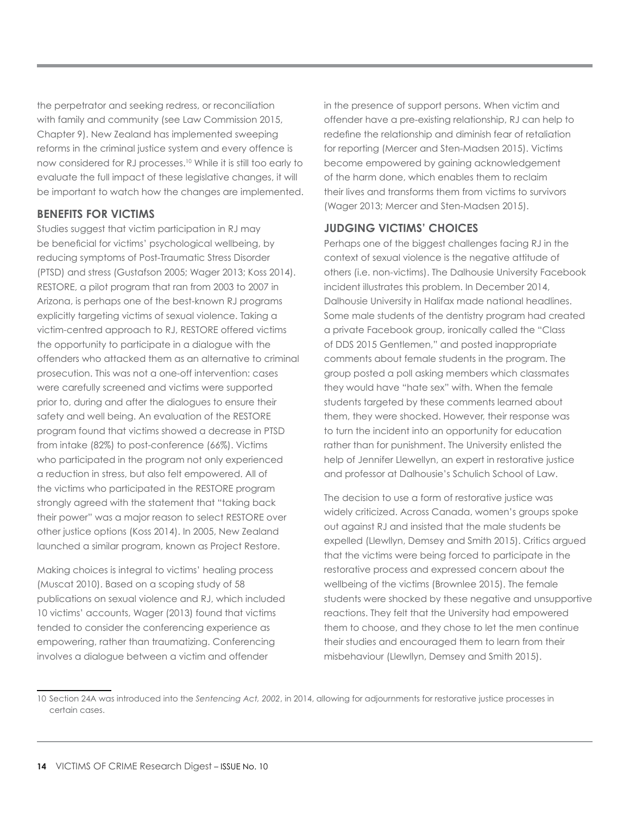the perpetrator and seeking redress, or reconciliation with family and community (see Law Commission 2015, Chapter 9). New Zealand has implemented sweeping reforms in the criminal justice system and every offence is now considered for RJ processes.10 While it is still too early to evaluate the full impact of these legislative changes, it will be important to watch how the changes are implemented.

# **BENEFITS FOR VICTIMS**

Studies suggest that victim participation in RJ may be beneficial for victims' psychological wellbeing, by reducing symptoms of Post-Traumatic Stress Disorder (PTSD) and stress (Gustafson 2005; Wager 2013; Koss 2014). RESTORE, a pilot program that ran from 2003 to 2007 in Arizona, is perhaps one of the best-known RJ programs explicitly targeting victims of sexual violence. Taking a victim-centred approach to RJ, RESTORE offered victims the opportunity to participate in a dialogue with the offenders who attacked them as an alternative to criminal prosecution. This was not a one-off intervention: cases were carefully screened and victims were supported prior to, during and after the dialogues to ensure their safety and well being. An evaluation of the RESTORE program found that victims showed a decrease in PTSD from intake (82%) to post-conference (66%). Victims who participated in the program not only experienced a reduction in stress, but also felt empowered. All of the victims who participated in the RESTORE program strongly agreed with the statement that "taking back their power" was a major reason to select RESTORE over other justice options (Koss 2014). In 2005, New Zealand launched a similar program, known as Project Restore.

Making choices is integral to victims' healing process (Muscat 2010). Based on a scoping study of 58 publications on sexual violence and RJ, which included 10 victims' accounts, Wager (2013) found that victims tended to consider the conferencing experience as empowering, rather than traumatizing. Conferencing involves a dialogue between a victim and offender

in the presence of support persons. When victim and offender have a pre-existing relationship, RJ can help to redefine the relationship and diminish fear of retaliation for reporting (Mercer and Sten-Madsen 2015). Victims become empowered by gaining acknowledgement of the harm done, which enables them to reclaim their lives and transforms them from victims to survivors (Wager 2013; Mercer and Sten-Madsen 2015).

# **JUDGING VICTIMS' CHOICES**

Perhaps one of the biggest challenges facing RJ in the context of sexual violence is the negative attitude of others (i.e. non-victims). The Dalhousie University Facebook incident illustrates this problem. In December 2014, Dalhousie University in Halifax made national headlines. Some male students of the dentistry program had created a private Facebook group, ironically called the "Class of DDS 2015 Gentlemen," and posted inappropriate comments about female students in the program. The group posted a poll asking members which classmates they would have "hate sex" with. When the female students targeted by these comments learned about them, they were shocked. However, their response was to turn the incident into an opportunity for education rather than for punishment. The University enlisted the help of Jennifer Llewellyn, an expert in restorative justice and professor at Dalhousie's Schulich School of Law.

The decision to use a form of restorative justice was widely criticized. Across Canada, women's groups spoke out against RJ and insisted that the male students be expelled (Llewllyn, Demsey and Smith 2015). Critics argued that the victims were being forced to participate in the restorative process and expressed concern about the wellbeing of the victims (Brownlee 2015). The female students were shocked by these negative and unsupportive reactions. They felt that the University had empowered them to choose, and they chose to let the men continue their studies and encouraged them to learn from their misbehaviour (Llewllyn, Demsey and Smith 2015).

<sup>10</sup> Section 24A was introduced into the *Sentencing Act, 2002*, in 2014, allowing for adjournments for restorative justice processes in certain cases.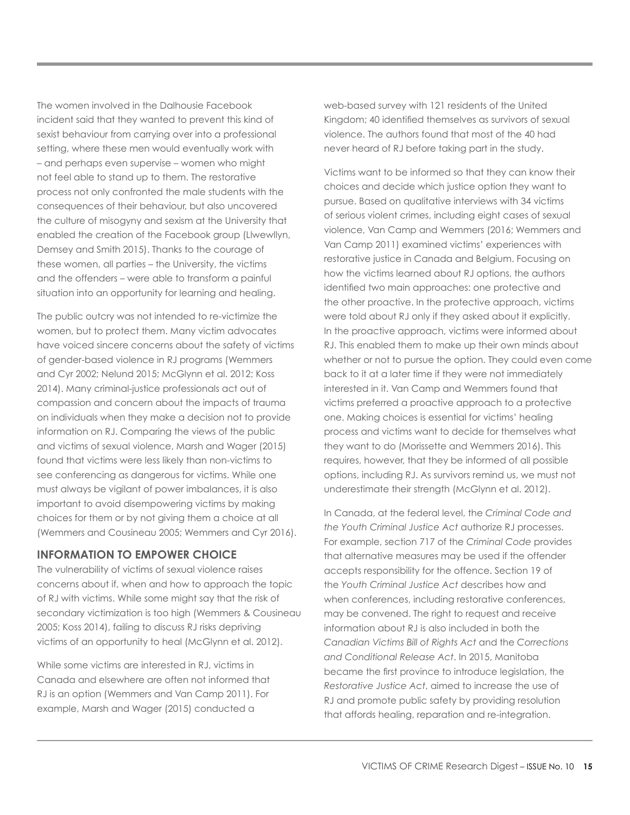The women involved in the Dalhousie Facebook incident said that they wanted to prevent this kind of sexist behaviour from carrying over into a professional setting, where these men would eventually work with – and perhaps even supervise – women who might not feel able to stand up to them. The restorative process not only confronted the male students with the consequences of their behaviour, but also uncovered the culture of misogyny and sexism at the University that enabled the creation of the Facebook group (Llwewllyn, Demsey and Smith 2015). Thanks to the courage of these women, all parties – the University, the victims and the offenders – were able to transform a painful situation into an opportunity for learning and healing.

The public outcry was not intended to re-victimize the women, but to protect them. Many victim advocates have voiced sincere concerns about the safety of victims of gender-based violence in RJ programs (Wemmers and Cyr 2002; Nelund 2015; McGlynn et al. 2012; Koss 2014). Many criminal-justice professionals act out of compassion and concern about the impacts of trauma on individuals when they make a decision not to provide information on RJ. Comparing the views of the public and victims of sexual violence, Marsh and Wager (2015) found that victims were less likely than non-victims to see conferencing as dangerous for victims. While one must always be vigilant of power imbalances, it is also important to avoid disempowering victims by making choices for them or by not giving them a choice at all (Wemmers and Cousineau 2005; Wemmers and Cyr 2016).

# **INFORMATION TO EMPOWER CHOICE**

The vulnerability of victims of sexual violence raises concerns about if, when and how to approach the topic of RJ with victims. While some might say that the risk of secondary victimization is too high (Wemmers & Cousineau 2005; Koss 2014), failing to discuss RJ risks depriving victims of an opportunity to heal (McGlynn et al. 2012).

While some victims are interested in RJ, victims in Canada and elsewhere are often not informed that RJ is an option (Wemmers and Van Camp 2011). For example, Marsh and Wager (2015) conducted a

web-based survey with 121 residents of the United Kingdom; 40 identified themselves as survivors of sexual violence. The authors found that most of the 40 had never heard of RJ before taking part in the study.

Victims want to be informed so that they can know their choices and decide which justice option they want to pursue. Based on qualitative interviews with 34 victims of serious violent crimes, including eight cases of sexual violence, Van Camp and Wemmers (2016; Wemmers and Van Camp 2011) examined victims' experiences with restorative justice in Canada and Belgium. Focusing on how the victims learned about RJ options, the authors identified two main approaches: one protective and the other proactive. In the protective approach, victims were told about RJ only if they asked about it explicitly. In the proactive approach, victims were informed about RJ. This enabled them to make up their own minds about whether or not to pursue the option. They could even come back to it at a later time if they were not immediately interested in it. Van Camp and Wemmers found that victims preferred a proactive approach to a protective one. Making choices is essential for victims' healing process and victims want to decide for themselves what they want to do (Morissette and Wemmers 2016). This requires, however, that they be informed of all possible options, including RJ. As survivors remind us, we must not underestimate their strength (McGlynn et al. 2012).

In Canada, at the federal level, the *Criminal Code and the Youth Criminal Justice Act* authorize RJ processes. For example, section 717 of the *Criminal Code* provides that alternative measures may be used if the offender accepts responsibility for the offence. Section 19 of the *Youth Criminal Justice Act* describes how and when conferences, including restorative conferences, may be convened. The right to request and receive information about RJ is also included in both the *Canadian Victims Bill of Rights Act* and the *Corrections and Conditional Release Act*. In 2015, Manitoba became the first province to introduce legislation, the *Restorative Justice Act*, aimed to increase the use of RJ and promote public safety by providing resolution that affords healing, reparation and re-integration.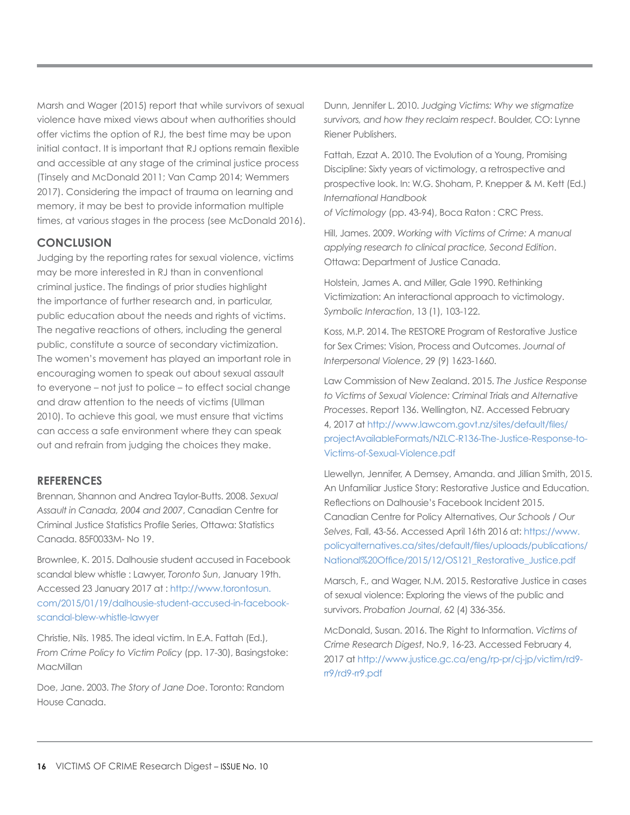Marsh and Wager (2015) report that while survivors of sexual violence have mixed views about when authorities should offer victims the option of RJ, the best time may be upon initial contact. It is important that RJ options remain flexible and accessible at any stage of the criminal justice process (Tinsely and McDonald 2011; Van Camp 2014; Wemmers 2017). Considering the impact of trauma on learning and memory, it may be best to provide information multiple times, at various stages in the process (see McDonald 2016).

# **CONCLUSION**

Judging by the reporting rates for sexual violence, victims may be more interested in RJ than in conventional criminal justice. The findings of prior studies highlight the importance of further research and, in particular, public education about the needs and rights of victims. The negative reactions of others, including the general public, constitute a source of secondary victimization. The women's movement has played an important role in encouraging women to speak out about sexual assault to everyone – not just to police – to effect social change and draw attention to the needs of victims (Ullman 2010). To achieve this goal, we must ensure that victims can access a safe environment where they can speak out and refrain from judging the choices they make.

#### **REFERENCES**

Brennan, Shannon and Andrea Taylor-Butts. 2008. *Sexual Assault in Canada, 2004 and 2007*, Canadian Centre for Criminal Justice Statistics Profile Series, Ottawa: Statistics Canada. 85F0033M- No 19.

Brownlee, K. 2015. Dalhousie student accused in Facebook scandal blew whistle : Lawyer, *Toronto Sun*, January 19th. Accessed 23 January 2017 at : [http://www.torontosun.](http://www.torontosun.com/2015/01/19/dalhousie-student-accused-in-facebook-scandal-blew-whistle-lawyer) [com/2015/01/19/dalhousie-student-accused-in-facebook](http://www.torontosun.com/2015/01/19/dalhousie-student-accused-in-facebook-scandal-blew-whistle-lawyer)[scandal-blew-whistle-lawyer](http://www.torontosun.com/2015/01/19/dalhousie-student-accused-in-facebook-scandal-blew-whistle-lawyer)

Christie, Nils. 1985. The ideal victim. In E.A. Fattah (Ed.), *From Crime Policy to Victim Policy* (pp. 17-30), Basingstoke: MacMillan

Doe, Jane. 2003. *The Story of Jane Doe*. Toronto: Random House Canada.

Dunn, Jennifer L. 2010. *Judging Victims: Why we stigmatize survivors, and how they reclaim respect*. Boulder, CO: Lynne Riener Publishers.

Fattah, Ezzat A. 2010. The Evolution of a Young, Promising Discipline: Sixty years of victimology, a retrospective and prospective look. In: W.G. Shoham, P. Knepper & M. Kett (Ed.) *International Handbook* 

*of Victimology* (pp. 43-94), Boca Raton : CRC Press.

Hill, James. 2009. *Working with Victims of Crime: A manual applying research to clinical practice, Second Edition*. Ottawa: Department of Justice Canada.

Holstein, James A. and Miller, Gale 1990. Rethinking Victimization: An interactional approach to victimology. *Symbolic Interaction*, 13 (1), 103-122.

Koss, M.P. 2014. The RESTORE Program of Restorative Justice for Sex Crimes: Vision, Process and Outcomes. *Journal of Interpersonal Violence*, 29 (9) 1623-1660.

Law Commission of New Zealand. 2015. *The Justice Response to Victims of Sexual Violence: Criminal Trials and Alternative Processes*. Report 136. Wellington, NZ. Accessed February 4, 2017 at http://www.lawcom.govt.nz/sites/default/files/ projectAvailableFormats/NZLC-R136-The-Justice-Response-to-Victims-of-Sexual-Violence.pdf

Llewellyn, Jennifer, A Demsey, Amanda. and Jillian Smith, 2015. An Unfamiliar Justice Story: Restorative Justice and Education. Reflections on Dalhousie's Facebook Incident 2015. Canadian Centre for Policy Alternatives, *Our Schools / Our Selves*, Fall, 43-56. Accessed April 16th 2016 at: [https://www.](https://www.policyalternatives.ca/sites/default/files/uploads/publications/National%20Office/2015/12/OS121_Restorative_Justice.pdf) [policyalternatives.ca/sites/default/files/uploads/publications/](https://www.policyalternatives.ca/sites/default/files/uploads/publications/National%20Office/2015/12/OS121_Restorative_Justice.pdf) [National%20Office/2015/12/OS121\\_Restorative\\_Justice.pdf](https://www.policyalternatives.ca/sites/default/files/uploads/publications/National%20Office/2015/12/OS121_Restorative_Justice.pdf)

Marsch, F., and Wager, N.M. 2015. Restorative Justice in cases of sexual violence: Exploring the views of the public and survivors. *Probation Journal*, 62 (4) 336-356.

McDonald, Susan. 2016. The Right to Information. *Victims of Crime Research Digest*, No.9, 16-23. Accessed February 4, 2017 at http://www.justice.gc.ca/eng/rp-pr/cj-jp/victim/rd9 rr9/rd9-rr9.pdf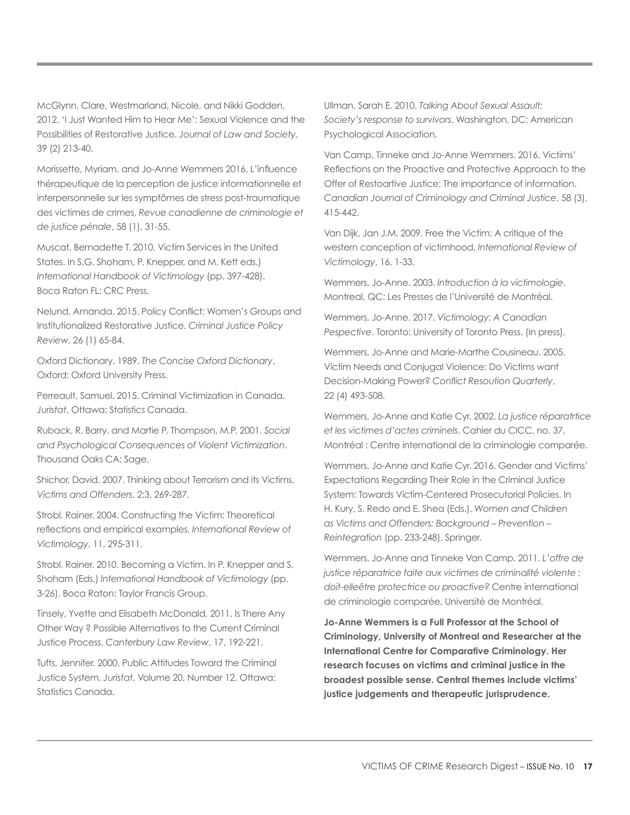McGlynn, Clare, Westmarland, Nicole, and Nikki Godden, 2012. 'I Just Wanted Him to Hear Me': Sexual Violence and the Possibilities of Restorative Justice. *Journal of Law and Society*, 39 (2) 213-40.

Morissette, Myriam, and Jo-Anne Wemmers 2016. L'influence thérapeutique de la perception de justice informationnelle et interpersonnelle sur les symptômes de stress post-traumatique des victimes de crimes, *Revue canadienne de criminologie et de justice pénale*, 58 (1), 31-55.

Muscat, Bernadette T. 2010. Victim Services in the United States. In S.G. Shoham, P. Knepper, and M. Kett eds.) *International Handbook of Victimology* (pp. 397-428). Boca Raton FL: CRC Press.

Nelund, Amanda. 2015. Policy Conflict: Women's Groups and Institutionalized Restorative Justice. *Criminal Justice Policy Review*, 26 (1) 65-84.

Oxford Dictionary. 1989. *The Concise Oxford Dictionary*. Oxford: Oxford University Press.

Perreault, Samuel. 2015. Criminal Victimization in Canada. *Juristat*, Ottawa: Statistics Canada.

Ruback, R. Barry. and Martie P. Thompson, M.P. 2001. *Social and Psychological Consequences of Violent Victimization*. Thousand Oaks CA: Sage.

Shichor, David. 2007. Thinking about Terrorism and its Victims. *Victims and Offenders*, 2:3, 269-287.

Strobl, Rainer. 2004. Constructing the Victim: Theoretical reflections and empirical examples. *International Review of Victimology*, 11, 295-311.

Strobl, Rainer. 2010. Becoming a Victim. In P. Knepper and S. Shoham (Eds.) *International Handbook of Victimology* (pp. 3-26). Boca Raton: Taylor Francis Group.

Tinsely, Yvette and Elisabeth McDonald, 2011. Is There Any Other Way ? Possible Alternatives to the Current Criminal Justice Process. *Canterbury Law Review*, 17, 192-221.

Tufts, Jennifer. 2000. Public Attitudes Toward the Criminal Justice System. *Juristat*, Volume 20, Number 12. Ottawa: Statistics Canada.

Ullman, Sarah E. 2010. *Talking About Sexual Assault: Society's response to survivors*. Washington, DC: American Psychological Association.

Van Camp, Tinneke and Jo-Anne Wemmers. 2016. Victims' Reflections on the Proactive and Protective Approach to the Offer of Restoartive Justice: The importance of information. *Canadian Journal of Criminology and Criminal Justice*, 58 (3), 415-442.

Van Dijk, Jan J.M. 2009. Free the Victim: A critique of the western conception of victimhood, *International Review of Victimology*, 16, 1-33.

Wemmers, Jo-Anne. 2003. *Introduction à la victimologie*. Montreal, QC: Les Presses de l'Université de Montréal.

Wemmers, Jo-Anne. 2017. *Victimology: A Canadian Pespective*. Toronto: University of Toronto Press. (In press).

Wemmers, Jo-Anne and Marie-Marthe Cousineau. 2005. Victim Needs and Conjugal Violence: Do Victims want Decision-Making Power? *Conflict Resoution Quarterly*, 22 (4) 493-508.

Wemmers, Jo-Anne and Katie Cyr. 2002. *La justice réparatrtice et les victimes d'actes criminels*, Cahier du CICC, no. 37, Montréal : Centre international de la criminologie comparée.

Wemmers, Jo-Anne and Katie Cyr. 2016. Gender and Victims' Expectations Regarding Their Role in the Criminal Justice System: Towards Victim-Centered Prosecutorial Policies. In H. Kury, S. Redo and E. Shea (Eds.), *Women and Children as Victims and Offenders: Background – Prevention – Reintegration* (pp. 233-248). Springer.

Wemmers, Jo-Anne and Tinneke Van Camp. 2011. *L'offre de justice réparatrice faite aux victimes de criminalité violente : doit-elleêtre protectrice ou proactive?* Centre international de criminologie comparée, Université de Montréal.

**Jo-Anne Wemmers is a Full Professor at the School of Criminology, University of Montreal and Researcher at the International Centre for Comparative Criminology. Her research focuses on victims and criminal justice in the broadest possible sense. Central themes include victims' justice judgements and therapeutic jurisprudence.**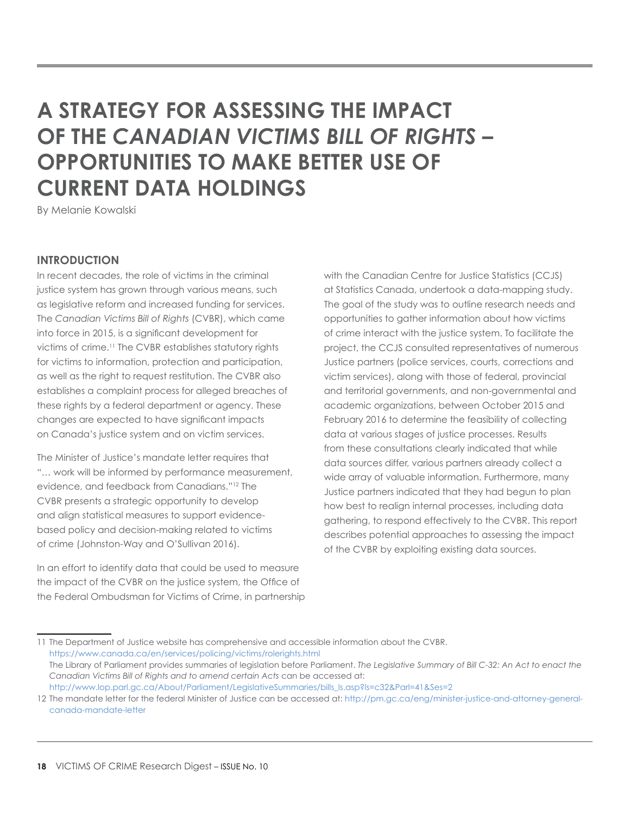# <span id="page-17-0"></span>**A STRATEGY FOR ASSESSING THE IMPACT OF THE** *CANADIAN VICTIMS BILL OF RIGHTS –* **OPPORTUNITIES TO MAKE BETTER USE OF CURRENT DATA HOLDINGS**

By Melanie Kowalski

### **INTRODUCTION**

In recent decades, the role of victims in the criminal justice system has grown through various means, such as legislative reform and increased funding for services. The *Canadian Victims Bill of Rights* (CVBR), which came into force in 2015, is a significant development for victims of crime.11 The CVBR establishes statutory rights for victims to information, protection and participation, as well as the right to request restitution. The CVBR also establishes a complaint process for alleged breaches of these rights by a federal department or agency. These changes are expected to have significant impacts on Canada's justice system and on victim services.

The Minister of Justice's mandate letter requires that "… work will be informed by performance measurement, evidence, and feedback from Canadians."12 The CVBR presents a strategic opportunity to develop and align statistical measures to support evidencebased policy and decision-making related to victims of crime (Johnston-Way and O'Sullivan 2016).

In an effort to identify data that could be used to measure the impact of the CVBR on the justice system, the Office of the Federal Ombudsman for Victims of Crime, in partnership with the Canadian Centre for Justice Statistics (CCJS) at Statistics Canada, undertook a data-mapping study. The goal of the study was to outline research needs and opportunities to gather information about how victims of crime interact with the justice system. To facilitate the project, the CCJS consulted representatives of numerous Justice partners (police services, courts, corrections and victim services), along with those of federal, provincial and territorial governments, and non-governmental and academic organizations, between October 2015 and February 2016 to determine the feasibility of collecting data at various stages of justice processes. Results from these consultations clearly indicated that while data sources differ, various partners already collect a wide array of valuable information. Furthermore, many Justice partners indicated that they had begun to plan how best to realign internal processes, including data gathering, to respond effectively to the CVBR. This report describes potential approaches to assessing the impact of the CVBR by exploiting existing data sources.

<sup>11</sup> The Department of Justice website has comprehensive and accessible information about the CVBR. <https://www.canada.ca/en/services/policing/victims/rolerights.html> The Library of Parliament provides summaries of legislation before Parliament. *The Legislative Summary of Bill C-32: An Act to enact the Canadian Victims Bill of Rights and to amend certain Acts* can be accessed at: [http://www.lop.parl.gc.ca/About/Parliament/LegislativeSummaries/bills\\_ls.asp?ls=c32&Parl=41&Ses=2](http://www.lop.parl.gc.ca/About/Parliament/LegislativeSummaries/bills_ls.asp?ls=c32&Parl=41&Ses=2)

<sup>12</sup> The mandate letter for the federal Minister of Justice can be accessed at: [http://pm.gc.ca/eng/minister-justice-and-attorney-general](http://pm.gc.ca/eng/minister-justice-and-attorney-general-canada-mandate-letter)[canada-mandate-letter](http://pm.gc.ca/eng/minister-justice-and-attorney-general-canada-mandate-letter)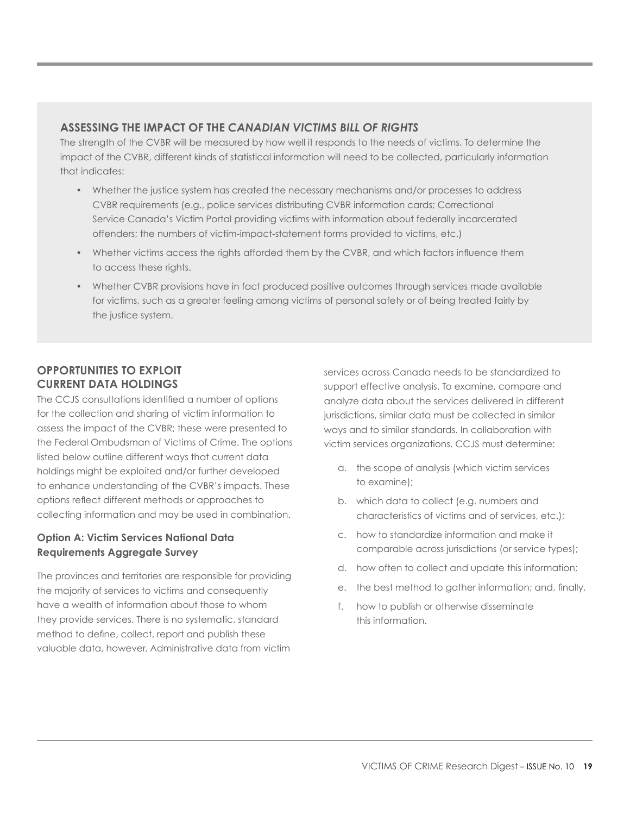# **ASSESSING THE IMPACT OF THE** *CANADIAN VICTIMS BILL OF RIGHTS*

The strength of the CVBR will be measured by how well it responds to the needs of victims. To determine the impact of the CVBR, different kinds of statistical information will need to be collected, particularly information that indicates:

- Whether the justice system has created the necessary mechanisms and/or processes to address CVBR requirements (e.g., police services distributing CVBR information cards; Correctional Service Canada's Victim Portal providing victims with information about federally incarcerated offenders; the numbers of victim-impact-statement forms provided to victims, etc.)
- Whether victims access the rights afforded them by the CVBR, and which factors influence them to access these rights.
- Whether CVBR provisions have in fact produced positive outcomes through services made available for victims, such as a greater feeling among victims of personal safety or of being treated fairly by the justice system.

# **OPPORTUNITIES TO EXPLOIT CURRENT DATA HOLDINGS**

The CCJS consultations identified a number of options for the collection and sharing of victim information to assess the impact of the CVBR; these were presented to the Federal Ombudsman of Victims of Crime. The options listed below outline different ways that current data holdings might be exploited and/or further developed to enhance understanding of the CVBR's impacts. These options reflect different methods or approaches to collecting information and may be used in combination.

# **Option A: Victim Services National Data Requirements Aggregate Survey**

The provinces and territories are responsible for providing the majority of services to victims and consequently have a wealth of information about those to whom they provide services. There is no systematic, standard method to define, collect, report and publish these valuable data, however. Administrative data from victim services across Canada needs to be standardized to support effective analysis. To examine, compare and analyze data about the services delivered in different jurisdictions, similar data must be collected in similar ways and to similar standards. In collaboration with victim services organizations, CCJS must determine:

- a. the scope of analysis (which victim services to examine);
- b. which data to collect (e.g. numbers and characteristics of victims and of services, etc.);
- c. how to standardize information and make it comparable across jurisdictions (or service types);
- d. how often to collect and update this information;
- e. the best method to gather information; and, finally,
- f. how to publish or otherwise disseminate this information.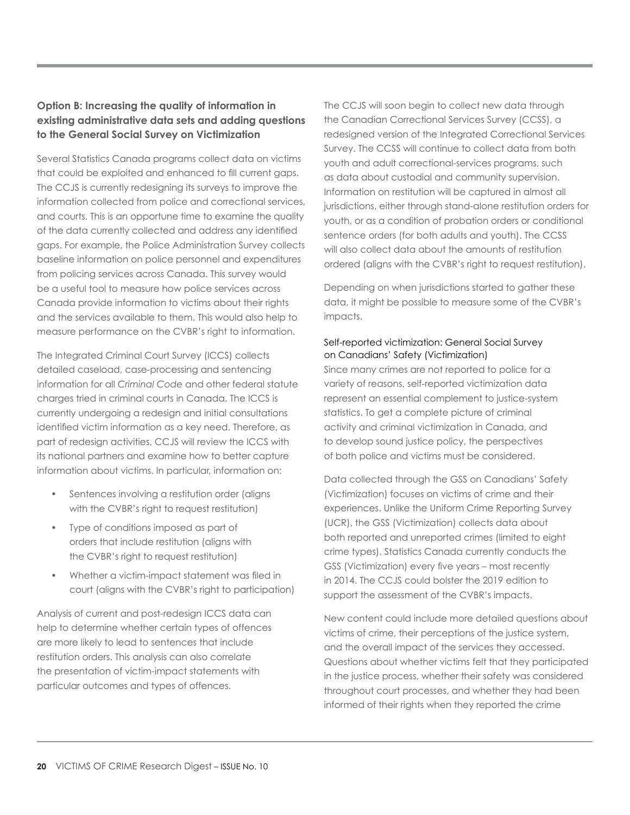# **Option B: Increasing the quality of information in existing administrative data sets and adding questions to the General Social Survey on Victimization**

Several Statistics Canada programs collect data on victims that could be exploited and enhanced to fill current gaps. The CCJS is currently redesigning its surveys to improve the information collected from police and correctional services, and courts. This is an opportune time to examine the quality of the data currently collected and address any identified gaps. For example, the Police Administration Survey collects baseline information on police personnel and expenditures from policing services across Canada. This survey would be a useful tool to measure how police services across Canada provide information to victims about their rights and the services available to them. This would also help to measure performance on the CVBR's right to information.

The Integrated Criminal Court Survey (ICCS) collects detailed caseload, case-processing and sentencing information for all *Criminal Code* and other federal statute charges tried in criminal courts in Canada. The ICCS is currently undergoing a redesign and initial consultations identified victim information as a key need. Therefore, as part of redesign activities, CCJS will review the ICCS with its national partners and examine how to better capture information about victims. In particular, information on:

- Sentences involving a restitution order (aligns with the CVBR's right to request restitution)
- Type of conditions imposed as part of orders that include restitution (aligns with the CVBR's right to request restitution)
- Whether a victim-impact statement was filed in court (aligns with the CVBR's right to participation)

Analysis of current and post-redesign ICCS data can help to determine whether certain types of offences are more likely to lead to sentences that include restitution orders. This analysis can also correlate the presentation of victim-impact statements with particular outcomes and types of offences.

The CCJS will soon begin to collect new data through the Canadian Correctional Services Survey (CCSS), a redesigned version of the Integrated Correctional Services Survey. The CCSS will continue to collect data from both youth and adult correctional-services programs, such as data about custodial and community supervision. Information on restitution will be captured in almost all jurisdictions, either through stand-alone restitution orders for youth, or as a condition of probation orders or conditional sentence orders (for both adults and youth). The CCSS will also collect data about the amounts of restitution ordered (aligns with the CVBR's right to request restitution).

Depending on when jurisdictions started to gather these data, it might be possible to measure some of the CVBR's impacts.

#### Self-reported victimization: General Social Survey on Canadians' Safety (Victimization)

Since many crimes are not reported to police for a variety of reasons, self-reported victimization data represent an essential complement to justice-system statistics. To get a complete picture of criminal activity and criminal victimization in Canada, and to develop sound justice policy, the perspectives of both police and victims must be considered.

Data collected through the GSS on Canadians' Safety (Victimization) focuses on victims of crime and their experiences. Unlike the Uniform Crime Reporting Survey (UCR), the GSS (Victimization) collects data about both reported and unreported crimes (limited to eight crime types). Statistics Canada currently conducts the GSS (Victimization) every five years – most recently in 2014. The CCJS could bolster the 2019 edition to support the assessment of the CVBR's impacts.

New content could include more detailed questions about victims of crime, their perceptions of the justice system, and the overall impact of the services they accessed. Questions about whether victims felt that they participated in the justice process, whether their safety was considered throughout court processes, and whether they had been informed of their rights when they reported the crime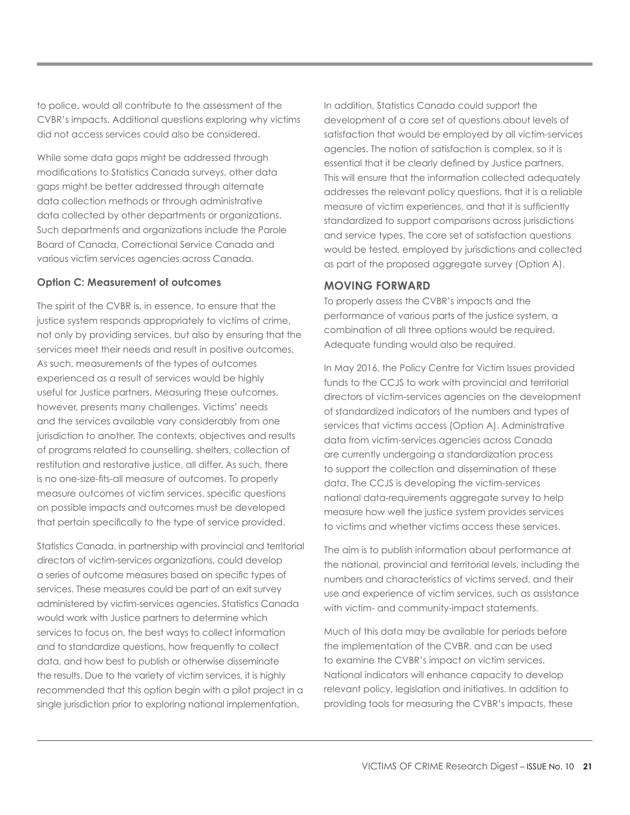to police, would all contribute to the assessment of the CVBR's impacts. Additional questions exploring why victims did not access services could also be considered.

While some data gaps might be addressed through modifications to Statistics Canada surveys, other data gaps might be better addressed through alternate data collection methods or through administrative data collected by other departments or organizations. Such departments and organizations include the Parole Board of Canada, Correctional Service Canada and various victim services agencies across Canada.

#### **Option C: Measurement of outcomes**

The spirit of the CVBR is, in essence, to ensure that the justice system responds appropriately to victims of crime, not only by providing services, but also by ensuring that the services meet their needs and result in positive outcomes. As such, measurements of the types of outcomes experienced as a result of services would be highly useful for Justice partners. Measuring these outcomes, however, presents many challenges. Victims' needs and the services available vary considerably from one jurisdiction to another. The contexts, objectives and results of programs related to counselling, shelters, collection of restitution and restorative justice, all differ. As such, there is no one-size-fits-all measure of outcomes. To properly measure outcomes of victim services, specific questions on possible impacts and outcomes must be developed that pertain specifically to the type of service provided.

Statistics Canada, in partnership with provincial and territorial directors of victim-services organizations, could develop a series of outcome measures based on specific types of services. These measures could be part of an exit survey administered by victim-services agencies. Statistics Canada would work with Justice partners to determine which services to focus on, the best ways to collect information and to standardize questions, how frequently to collect data, and how best to publish or otherwise disseminate the results. Due to the variety of victim services, it is highly recommended that this option begin with a pilot project in a single jurisdiction prior to exploring national implementation.

In addition, Statistics Canada could support the development of a core set of questions about levels of satisfaction that would be employed by all victim-services agencies. The notion of satisfaction is complex, so it is essential that it be clearly defined by Justice partners. This will ensure that the information collected adequately addresses the relevant policy questions, that it is a reliable measure of victim experiences, and that it is sufficiently standardized to support comparisons across jurisdictions and service types. The core set of satisfaction questions would be tested, employed by jurisdictions and collected as part of the proposed aggregate survey (Option A).

### **MOVING FORWARD**

To properly assess the CVBR's impacts and the performance of various parts of the justice system, a combination of all three options would be required. Adequate funding would also be required.

In May 2016, the Policy Centre for Victim Issues provided funds to the CCJS to work with provincial and territorial directors of victim-services agencies on the development of standardized indicators of the numbers and types of services that victims access (Option A). Administrative data from victim-services agencies across Canada are currently undergoing a standardization process to support the collection and dissemination of these data. The CCJS is developing the victim-services national data-requirements aggregate survey to help measure how well the justice system provides services to victims and whether victims access these services.

The aim is to publish information about performance at the national, provincial and territorial levels, including the numbers and characteristics of victims served, and their use and experience of victim services, such as assistance with victim- and community-impact statements.

Much of this data may be available for periods before the implementation of the CVBR, and can be used to examine the CVBR's impact on victim services. National indicators will enhance capacity to develop relevant policy, legislation and initiatives. In addition to providing tools for measuring the CVBR's impacts, these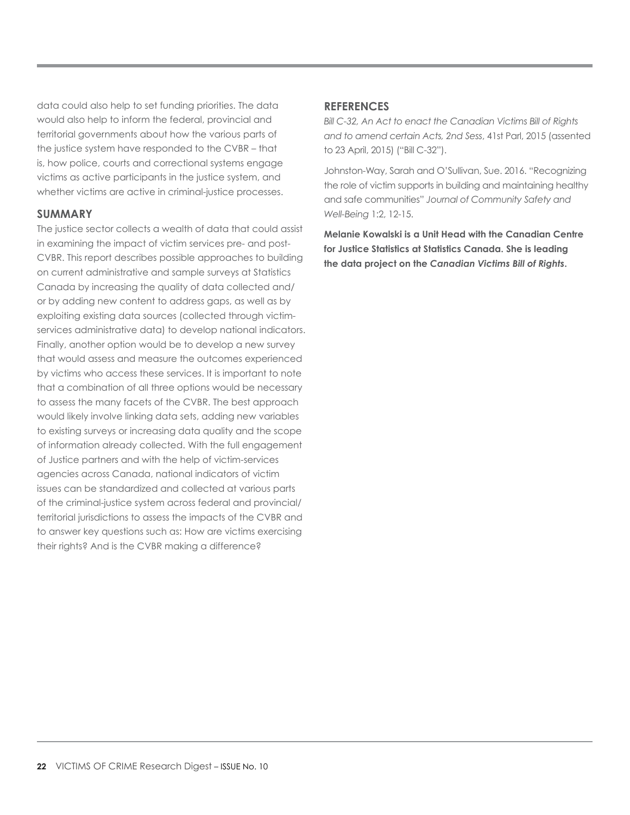data could also help to set funding priorities. The data would also help to inform the federal, provincial and territorial governments about how the various parts of the justice system have responded to the CVBR – that is, how police, courts and correctional systems engage victims as active participants in the justice system, and whether victims are active in criminal-justice processes.

#### **SUMMARY**

The justice sector collects a wealth of data that could assist in examining the impact of victim services pre- and post-CVBR. This report describes possible approaches to building on current administrative and sample surveys at Statistics Canada by increasing the quality of data collected and/ or by adding new content to address gaps, as well as by exploiting existing data sources (collected through victimservices administrative data) to develop national indicators. Finally, another option would be to develop a new survey that would assess and measure the outcomes experienced by victims who access these services. It is important to note that a combination of all three options would be necessary to assess the many facets of the CVBR. The best approach would likely involve linking data sets, adding new variables to existing surveys or increasing data quality and the scope of information already collected. With the full engagement of Justice partners and with the help of victim-services agencies across Canada, national indicators of victim issues can be standardized and collected at various parts of the criminal-justice system across federal and provincial/ territorial jurisdictions to assess the impacts of the CVBR and to answer key questions such as: How are victims exercising their rights? And is the CVBR making a difference?

#### **REFERENCES**

*Bill C-32, An Act to enact the Canadian Victims Bill of Rights and to amend certain Acts, 2nd Sess*, 41st Parl, 2015 (assented to 23 April, 2015) ("Bill C-32").

Johnston-Way, Sarah and O'Sullivan, Sue. 2016. "Recognizing the role of victim supports in building and maintaining healthy and safe communities" *Journal of Community Safety and Well-Being* 1:2, 12-15.

**Melanie Kowalski is a Unit Head with the Canadian Centre for Justice Statistics at Statistics Canada. She is leading the data project on the** *Canadian Victims Bill of Rights***.**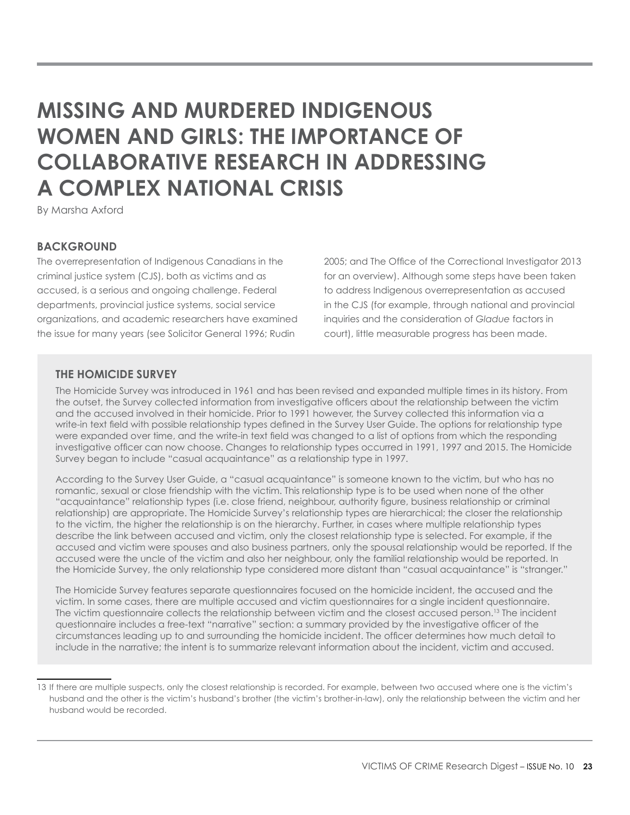# <span id="page-22-0"></span>**MISSING AND MURDERED INDIGENOUS WOMEN AND GIRLS: THE IMPORTANCE OF COLLABORATIVE RESEARCH IN ADDRESSING A COMPLEX NATIONAL CRISIS**

By Marsha Axford

### **BACKGROUND**

The overrepresentation of Indigenous Canadians in the criminal justice system (CJS), both as victims and as accused, is a serious and ongoing challenge. Federal departments, provincial justice systems, social service organizations, and academic researchers have examined the issue for many years (see Solicitor General 1996; Rudin

2005; and The Office of the Correctional Investigator 2013 for an overview). Although some steps have been taken to address Indigenous overrepresentation as accused in the CJS (for example, through national and provincial inquiries and the consideration of *Gladue* factors in court), little measurable progress has been made.

# **THE HOMICIDE SURVEY**

The Homicide Survey was introduced in 1961 and has been revised and expanded multiple times in its history. From the outset, the Survey collected information from investigative officers about the relationship between the victim and the accused involved in their homicide. Prior to 1991 however, the Survey collected this information via a write-in text field with possible relationship types defined in the Survey User Guide. The options for relationship type were expanded over time, and the write-in text field was changed to a list of options from which the responding investigative officer can now choose. Changes to relationship types occurred in 1991, 1997 and 2015. The Homicide Survey began to include "casual acquaintance" as a relationship type in 1997.

According to the Survey User Guide, a "casual acquaintance" is someone known to the victim, but who has no romantic, sexual or close friendship with the victim. This relationship type is to be used when none of the other "acquaintance" relationship types (i.e. close friend, neighbour, authority figure, business relationship or criminal relationship) are appropriate. The Homicide Survey's relationship types are hierarchical; the closer the relationship to the victim, the higher the relationship is on the hierarchy. Further, in cases where multiple relationship types describe the link between accused and victim, only the closest relationship type is selected. For example, if the accused and victim were spouses and also business partners, only the spousal relationship would be reported. If the accused were the uncle of the victim and also her neighbour, only the familial relationship would be reported. In the Homicide Survey, the only relationship type considered more distant than "casual acquaintance" is "stranger."

The Homicide Survey features separate questionnaires focused on the homicide incident, the accused and the victim. In some cases, there are multiple accused and victim questionnaires for a single incident questionnaire. The victim questionnaire collects the relationship between victim and the closest accused person.13 The incident questionnaire includes a free-text "narrative" section: a summary provided by the investigative officer of the circumstances leading up to and surrounding the homicide incident. The officer determines how much detail to include in the narrative; the intent is to summarize relevant information about the incident, victim and accused.

<sup>13</sup> If there are multiple suspects, only the closest relationship is recorded. For example, between two accused where one is the victim's husband and the other is the victim's husband's brother (the victim's brother-in-law), only the relationship between the victim and her husband would be recorded.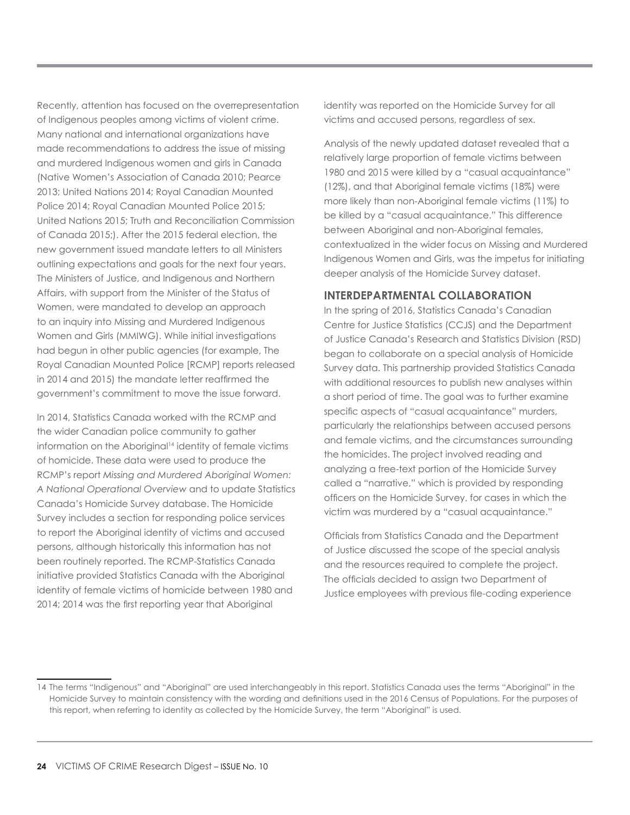Recently, attention has focused on the overrepresentation of Indigenous peoples among victims of violent crime. Many national and international organizations have made recommendations to address the issue of missing and murdered Indigenous women and girls in Canada (Native Women's Association of Canada 2010; Pearce 2013; United Nations 2014; Royal Canadian Mounted Police 2014; Royal Canadian Mounted Police 2015; United Nations 2015; Truth and Reconciliation Commission of Canada 2015;). After the 2015 federal election, the new government issued mandate letters to all Ministers outlining expectations and goals for the next four years. The Ministers of Justice, and Indigenous and Northern Affairs, with support from the Minister of the Status of Women, were mandated to develop an approach to an inquiry into Missing and Murdered Indigenous Women and Girls (MMIWG). While initial investigations had begun in other public agencies (for example, The Royal Canadian Mounted Police [RCMP] reports released in 2014 and 2015) the mandate letter reaffirmed the government's commitment to move the issue forward.

In 2014, Statistics Canada worked with the RCMP and the wider Canadian police community to gather information on the Aboriginal<sup>14</sup> identity of female victims of homicide. These data were used to produce the RCMP's report *Missing and Murdered Aboriginal Women: A National Operational Overview* and to update Statistics Canada's Homicide Survey database. The Homicide Survey includes a section for responding police services to report the Aboriginal identity of victims and accused persons, although historically this information has not been routinely reported. The RCMP-Statistics Canada initiative provided Statistics Canada with the Aboriginal identity of female victims of homicide between 1980 and 2014; 2014 was the first reporting year that Aboriginal

identity was reported on the Homicide Survey for all victims and accused persons, regardless of sex.

Analysis of the newly updated dataset revealed that a relatively large proportion of female victims between 1980 and 2015 were killed by a "casual acquaintance" (12%), and that Aboriginal female victims (18%) were more likely than non-Aboriginal female victims (11%) to be killed by a "casual acquaintance." This difference between Aboriginal and non-Aboriginal females, contextualized in the wider focus on Missing and Murdered Indigenous Women and Girls, was the impetus for initiating deeper analysis of the Homicide Survey dataset.

# **INTERDEPARTMENTAL COLLABORATION**

In the spring of 2016, Statistics Canada's Canadian Centre for Justice Statistics (CCJS) and the Department of Justice Canada's Research and Statistics Division (RSD) began to collaborate on a special analysis of Homicide Survey data. This partnership provided Statistics Canada with additional resources to publish new analyses within a short period of time. The goal was to further examine specific aspects of "casual acquaintance" murders, particularly the relationships between accused persons and female victims, and the circumstances surrounding the homicides. The project involved reading and analyzing a free-text portion of the Homicide Survey called a "narrative," which is provided by responding officers on the Homicide Survey, for cases in which the victim was murdered by a "casual acquaintance."

Officials from Statistics Canada and the Department of Justice discussed the scope of the special analysis and the resources required to complete the project. The officials decided to assign two Department of Justice employees with previous file-coding experience

<sup>14</sup> The terms "Indigenous" and "Aboriginal" are used interchangeably in this report. Statistics Canada uses the terms "Aboriginal" in the Homicide Survey to maintain consistency with the wording and definitions used in the 2016 Census of Populations. For the purposes of this report, when referring to identity as collected by the Homicide Survey, the term "Aboriginal" is used.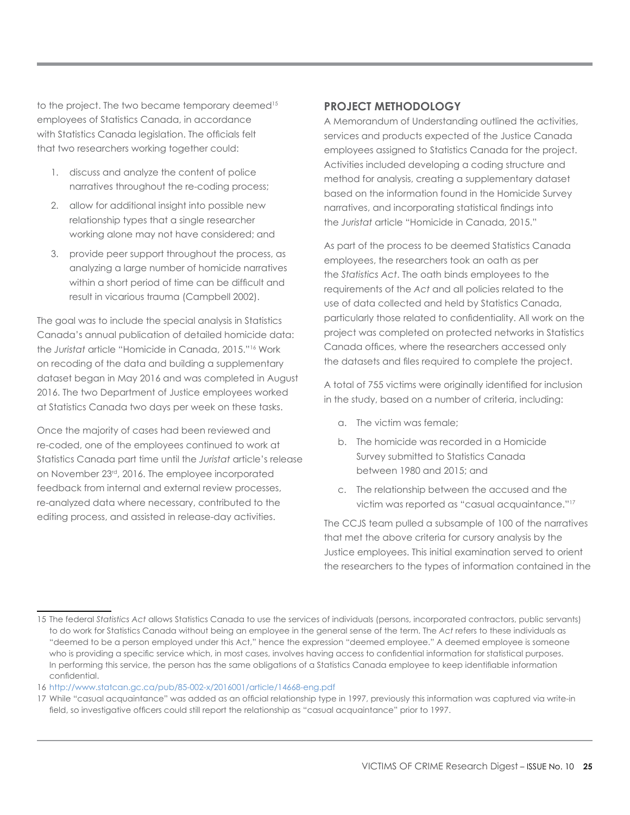to the project. The two became temporary deemed<sup>15</sup> employees of Statistics Canada, in accordance with Statistics Canada legislation. The officials felt that two researchers working together could:

- 1. discuss and analyze the content of police narratives throughout the re-coding process;
- 2. allow for additional insight into possible new relationship types that a single researcher working alone may not have considered; and
- 3. provide peer support throughout the process, as analyzing a large number of homicide narratives within a short period of time can be difficult and result in vicarious trauma (Campbell 2002).

The goal was to include the special analysis in Statistics Canada's annual publication of detailed homicide data: the *Juristat* article "Homicide in Canada, 2015."16 Work on recoding of the data and building a supplementary dataset began in May 2016 and was completed in August 2016. The two Department of Justice employees worked at Statistics Canada two days per week on these tasks.

Once the majority of cases had been reviewed and re-coded, one of the employees continued to work at Statistics Canada part time until the *Juristat* article's release on November 23rd, 2016. The employee incorporated feedback from internal and external review processes, re-analyzed data where necessary, contributed to the editing process, and assisted in release-day activities.

# **PROJECT METHODOLOGY**

A Memorandum of Understanding outlined the activities, services and products expected of the Justice Canada employees assigned to Statistics Canada for the project. Activities included developing a coding structure and method for analysis, creating a supplementary dataset based on the information found in the Homicide Survey narratives, and incorporating statistical findings into the *Juristat* article "Homicide in Canada, 2015."

As part of the process to be deemed Statistics Canada employees, the researchers took an oath as per the *Statistics Act*. The oath binds employees to the requirements of the *Act* and all policies related to the use of data collected and held by Statistics Canada, particularly those related to confidentiality. All work on the project was completed on protected networks in Statistics Canada offices, where the researchers accessed only the datasets and files required to complete the project.

A total of 755 victims were originally identified for inclusion in the study, based on a number of criteria, including:

- a. The victim was female;
- b. The homicide was recorded in a Homicide Survey submitted to Statistics Canada between 1980 and 2015; and
- c. The relationship between the accused and the victim was reported as "casual acquaintance."17

The CCJS team pulled a subsample of 100 of the narratives that met the above criteria for cursory analysis by the Justice employees. This initial examination served to orient the researchers to the types of information contained in the

<sup>15</sup> The federal *Statistics Act* allows Statistics Canada to use the services of individuals (persons, incorporated contractors, public servants) to do work for Statistics Canada without being an employee in the general sense of the term. The *Act* refers to these individuals as "deemed to be a person employed under this Act," hence the expression "deemed employee." A deemed employee is someone who is providing a specific service which, in most cases, involves having access to confidential information for statistical purposes. In performing this service, the person has the same obligations of a Statistics Canada employee to keep identifiable information confidential.

<sup>16</sup> http://www.statcan.gc.ca/pub/85-002-x/2016001/article/14668-eng.pdf

<sup>17</sup> While "casual acquaintance" was added as an official relationship type in 1997, previously this information was captured via write-in field, so investigative officers could still report the relationship as "casual acquaintance" prior to 1997.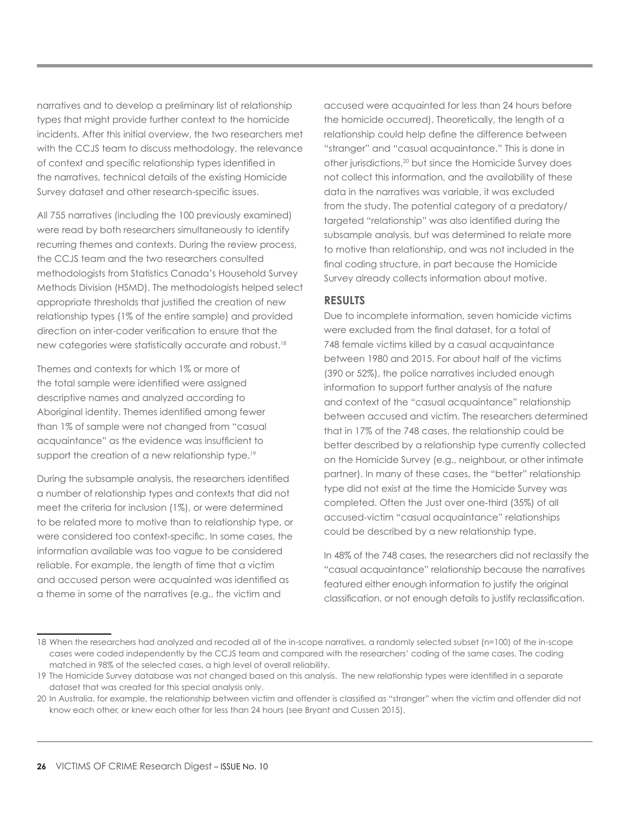narratives and to develop a preliminary list of relationship types that might provide further context to the homicide incidents. After this initial overview, the two researchers met with the CCJS team to discuss methodology, the relevance of context and specific relationship types identified in the narratives, technical details of the existing Homicide Survey dataset and other research-specific issues.

All 755 narratives (including the 100 previously examined) were read by both researchers simultaneously to identify recurring themes and contexts. During the review process, the CCJS team and the two researchers consulted methodologists from Statistics Canada's Household Survey Methods Division (HSMD). The methodologists helped select appropriate thresholds that justified the creation of new relationship types (1% of the entire sample) and provided direction on inter-coder verification to ensure that the new categories were statistically accurate and robust.18

Themes and contexts for which 1% or more of the total sample were identified were assigned descriptive names and analyzed according to Aboriginal identity. Themes identified among fewer than 1% of sample were not changed from "casual acquaintance" as the evidence was insufficient to support the creation of a new relationship type.<sup>19</sup>

During the subsample analysis, the researchers identified a number of relationship types and contexts that did not meet the criteria for inclusion (1%), or were determined to be related more to motive than to relationship type, or were considered too context-specific. In some cases, the information available was too vague to be considered reliable. For example, the length of time that a victim and accused person were acquainted was identified as a theme in some of the narratives (e.g., the victim and

accused were acquainted for less than 24 hours before the homicide occurred). Theoretically, the length of a relationship could help define the difference between "stranger" and "casual acquaintance." This is done in other jurisdictions,20 but since the Homicide Survey does not collect this information, and the availability of these data in the narratives was variable, it was excluded from the study. The potential category of a predatory/ targeted "relationship" was also identified during the subsample analysis, but was determined to relate more to motive than relationship, and was not included in the final coding structure, in part because the Homicide Survey already collects information about motive.

# **RESULTS**

Due to incomplete information, seven homicide victims were excluded from the final dataset, for a total of 748 female victims killed by a casual acquaintance between 1980 and 2015. For about half of the victims (390 or 52%), the police narratives included enough information to support further analysis of the nature and context of the "casual acquaintance" relationship between accused and victim. The researchers determined that in 17% of the 748 cases, the relationship could be better described by a relationship type currently collected on the Homicide Survey (e.g., neighbour, or other intimate partner). In many of these cases, the "better" relationship type did not exist at the time the Homicide Survey was completed. Often the Just over one-third (35%) of all accused-victim "casual acquaintance" relationships could be described by a new relationship type.

In 48% of the 748 cases, the researchers did not reclassify the "casual acquaintance" relationship because the narratives featured either enough information to justify the original classification, or not enough details to justify reclassification.

<sup>18</sup> When the researchers had analyzed and recoded all of the in-scope narratives, a randomly selected subset (n=100) of the in-scope cases were coded independently by the CCJS team and compared with the researchers' coding of the same cases. The coding matched in 98% of the selected cases, a high level of overall reliability.

<sup>19</sup> The Homicide Survey database was not changed based on this analysis. The new relationship types were identified in a separate dataset that was created for this special analysis only.

<sup>20</sup> In Australia, for example, the relationship between victim and offender is classified as "stranger" when the victim and offender did not know each other, or knew each other for less than 24 hours (see Bryant and Cussen 2015).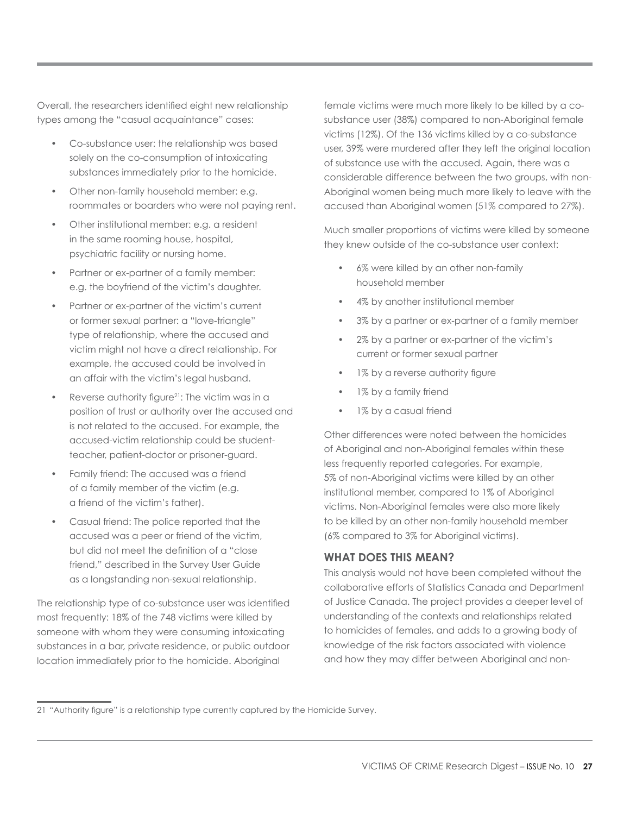Overall, the researchers identified eight new relationship types among the "casual acquaintance" cases:

- Co-substance user: the relationship was based solely on the co-consumption of intoxicating substances immediately prior to the homicide.
- Other non-family household member: e.g. roommates or boarders who were not paying rent.
- Other institutional member: e.g. a resident in the same rooming house, hospital, psychiatric facility or nursing home.
- Partner or ex-partner of a family member: e.g. the boyfriend of the victim's daughter.
- Partner or ex-partner of the victim's current or former sexual partner: a "love-triangle" type of relationship, where the accused and victim might not have a direct relationship. For example, the accused could be involved in an affair with the victim's legal husband.
- Reverse authority figure<sup>21</sup>: The victim was in a position of trust or authority over the accused and is not related to the accused. For example, the accused-victim relationship could be studentteacher, patient-doctor or prisoner-guard.
- Family friend: The accused was a friend of a family member of the victim (e.g. a friend of the victim's father).
- Casual friend: The police reported that the accused was a peer or friend of the victim, but did not meet the definition of a "close friend," described in the Survey User Guide as a longstanding non-sexual relationship.

The relationship type of co-substance user was identified most frequently: 18% of the 748 victims were killed by someone with whom they were consuming intoxicating substances in a bar, private residence, or public outdoor location immediately prior to the homicide. Aboriginal

female victims were much more likely to be killed by a cosubstance user (38%) compared to non-Aboriginal female victims (12%). Of the 136 victims killed by a co-substance user, 39% were murdered after they left the original location of substance use with the accused. Again, there was a considerable difference between the two groups, with non-Aboriginal women being much more likely to leave with the accused than Aboriginal women (51% compared to 27%).

Much smaller proportions of victims were killed by someone they knew outside of the co-substance user context:

- 6% were killed by an other non-family household member
- 4% by another institutional member
- 3% by a partner or ex-partner of a family member
- 2% by a partner or ex-partner of the victim's current or former sexual partner
- 1% by a reverse authority figure
- 1% by a family friend
- 1% by a casual friend

Other differences were noted between the homicides of Aboriginal and non-Aboriginal females within these less frequently reported categories. For example, 5% of non-Aboriginal victims were killed by an other institutional member, compared to 1% of Aboriginal victims. Non-Aboriginal females were also more likely to be killed by an other non-family household member (6% compared to 3% for Aboriginal victims).

# **WHAT DOES THIS MEAN?**

This analysis would not have been completed without the collaborative efforts of Statistics Canada and Department of Justice Canada. The project provides a deeper level of understanding of the contexts and relationships related to homicides of females, and adds to a growing body of knowledge of the risk factors associated with violence and how they may differ between Aboriginal and non-

<sup>21</sup> "Authority figure" is a relationship type currently captured by the Homicide Survey.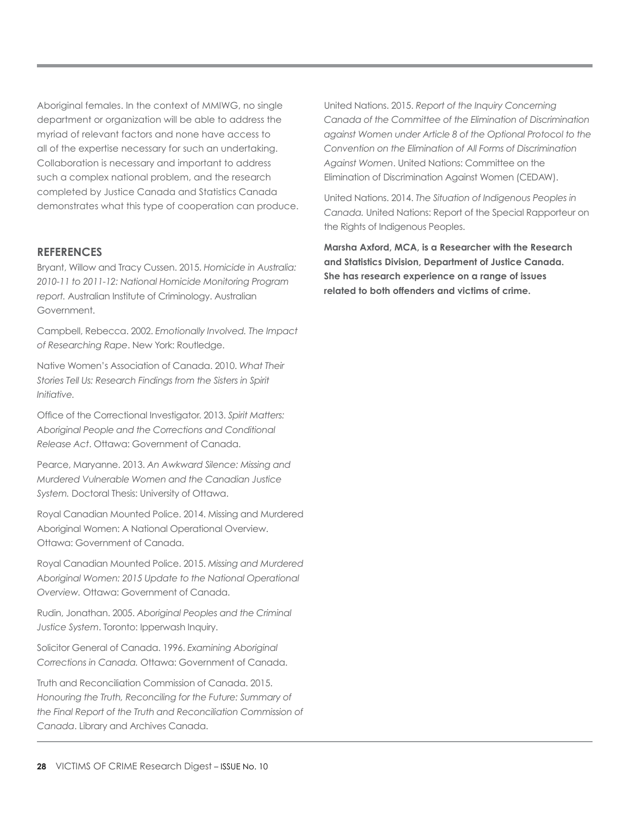Aboriginal females. In the context of MMIWG, no single department or organization will be able to address the myriad of relevant factors and none have access to all of the expertise necessary for such an undertaking. Collaboration is necessary and important to address such a complex national problem, and the research completed by Justice Canada and Statistics Canada demonstrates what this type of cooperation can produce.

#### **REFERENCES**

Bryant, Willow and Tracy Cussen. 2015. *Homicide in Australia: 2010-11 to 2011-12: National Homicide Monitoring Program report.* Australian Institute of Criminology. Australian Government.

Campbell, Rebecca. 2002. *Emotionally Involved. The Impact of Researching Rape*. New York: Routledge.

Native Women's Association of Canada. 2010. *What Their Stories Tell Us: Research Findings from the Sisters in Spirit Initiative.*

Office of the Correctional Investigator. 2013. *Spirit Matters: Aboriginal People and the Corrections and Conditional Release Act*. Ottawa: Government of Canada.

Pearce, Maryanne. 2013. *An Awkward Silence: Missing and Murdered Vulnerable Women and the Canadian Justice System.* Doctoral Thesis: University of Ottawa.

Royal Canadian Mounted Police. 2014. Missing and Murdered Aboriginal Women: A National Operational Overview. Ottawa: Government of Canada.

Royal Canadian Mounted Police. 2015. *Missing and Murdered Aboriginal Women: 2015 Update to the National Operational Overview.* Ottawa: Government of Canada.

Rudin, Jonathan. 2005. *Aboriginal Peoples and the Criminal Justice System*. Toronto: Ipperwash Inquiry.

Solicitor General of Canada. 1996. *Examining Aboriginal Corrections in Canada.* Ottawa: Government of Canada.

Truth and Reconciliation Commission of Canada. 2015. *Honouring the Truth, Reconciling for the Future: Summary of the Final Report of the Truth and Reconciliation Commission of Canada*. Library and Archives Canada.

United Nations. 2015. *Report of the Inquiry Concerning Canada of the Committee of the Elimination of Discrimination against Women under Article 8 of the Optional Protocol to the Convention on the Elimination of All Forms of Discrimination Against Women*. United Nations: Committee on the Elimination of Discrimination Against Women (CEDAW).

United Nations. 2014. *The Situation of Indigenous Peoples in Canada.* United Nations: Report of the Special Rapporteur on the Rights of Indigenous Peoples.

**Marsha Axford, MCA, is a Researcher with the Research and Statistics Division, Department of Justice Canada. She has research experience on a range of issues related to both offenders and victims of crime.**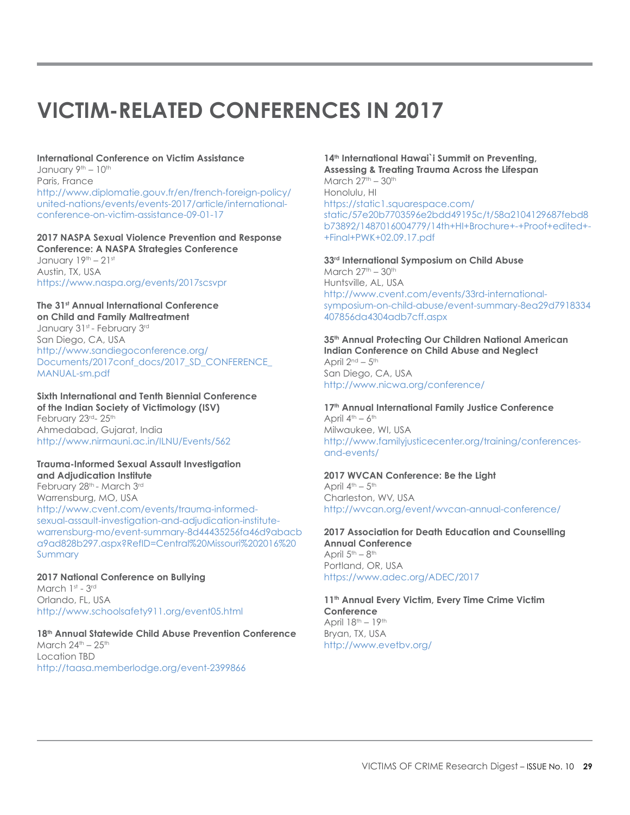# <span id="page-28-0"></span>**VICTIM-RELATED CONFERENCES IN 2017**

# **International Conference on Victim Assistance** January 9<sup>th</sup> - 10<sup>th</sup> Paris, France

[http://www.diplomatie.gouv.fr/en/french-foreign-policy/](http://www.diplomatie.gouv.fr/en/french-foreign-policy/united-nations/events/events-2017/article/international-conference-on-victim-assistance-09-01-17) [united-nations/events/events-2017/article/international](http://www.diplomatie.gouv.fr/en/french-foreign-policy/united-nations/events/events-2017/article/international-conference-on-victim-assistance-09-01-17)[conference-on-victim-assistance-09-01-17](http://www.diplomatie.gouv.fr/en/french-foreign-policy/united-nations/events/events-2017/article/international-conference-on-victim-assistance-09-01-17)

# **2017 NASPA Sexual Violence Prevention and Response Conference: A NASPA Strategies Conference**

January  $19<sup>th</sup> - 21<sup>st</sup>$ Austin, TX, USA <https://www.naspa.org/events/2017scsvpr>

# **The 31st Annual International Conference**

**on Child and Family Maltreatment** January 31st - February 3rd San Diego, CA, USA [http://www.sandiegoconference.org/](http://www.sandiegoconference.org/Documents/2017conf_docs/2017_SD_CONFERENCE_MANUAL-sm.pdf) [Documents/2017conf\\_docs/2017\\_SD\\_CONFERENCE\\_](http://www.sandiegoconference.org/Documents/2017conf_docs/2017_SD_CONFERENCE_MANUAL-sm.pdf) [MANUAL-sm.pdf](http://www.sandiegoconference.org/Documents/2017conf_docs/2017_SD_CONFERENCE_MANUAL-sm.pdf)

#### **Sixth International and Tenth Biennial Conference of the Indian Society of Victimology (ISV)** February 23rd- 25th Ahmedabad, Gujarat, India <http://www.nirmauni.ac.in/ILNU/Events/562>

#### **Trauma-Informed Sexual Assault Investigation and Adjudication Institute**

February 28<sup>th</sup> - March 3rd Warrensburg, MO, USA [http://www.cvent.com/events/trauma-informed](http://www.cvent.com/events/trauma-informed-sexual-assault-investigation-and-adjudication-institute-warrensburg-mo/event-summary-8d44435256fa46d9abacba9ad828b297.aspx?RefID=Central%20Missouri%202016%20Summary)[sexual-assault-investigation-and-adjudication-institute](http://www.cvent.com/events/trauma-informed-sexual-assault-investigation-and-adjudication-institute-warrensburg-mo/event-summary-8d44435256fa46d9abacba9ad828b297.aspx?RefID=Central%20Missouri%202016%20Summary)[warrensburg-mo/event-summary-8d44435256fa46d9abacb](http://www.cvent.com/events/trauma-informed-sexual-assault-investigation-and-adjudication-institute-warrensburg-mo/event-summary-8d44435256fa46d9abacba9ad828b297.aspx?RefID=Central%20Missouri%202016%20Summary) [a9ad828b297.aspx?RefID=Central%20Missouri%202016%20](http://www.cvent.com/events/trauma-informed-sexual-assault-investigation-and-adjudication-institute-warrensburg-mo/event-summary-8d44435256fa46d9abacba9ad828b297.aspx?RefID=Central%20Missouri%202016%20Summary) [Summary](http://www.cvent.com/events/trauma-informed-sexual-assault-investigation-and-adjudication-institute-warrensburg-mo/event-summary-8d44435256fa46d9abacba9ad828b297.aspx?RefID=Central%20Missouri%202016%20Summary)

#### **2017 National Conference on Bullying**  March 1st - 3rd Orlando, FL, USA <http://www.schoolsafety911.org/event05.html>

#### **18th Annual Statewide Child Abuse Prevention Conference** March  $24<sup>th</sup> - 25<sup>th</sup>$ Location TBD <http://taasa.memberlodge.org/event-2399866>

#### 14<sup>th</sup> International Hawai`i Summit on Preventing, **Assessing & Treating Trauma Across the Lifespan** March  $27<sup>th</sup> - 30<sup>th</sup>$

Honolulu, HI [https://static1.squarespace.com/](https://static1.squarespace.com/static/57e20b7703596e2bdd49195c/t/58a2104129687febd8b73892/1487016004779/14th+HI+Brochure+-+Proof+edited+-+Final+PWK+02.09.17.pdf) [static/57e20b7703596e2bdd49195c/t/58a2104129687febd8](https://static1.squarespace.com/static/57e20b7703596e2bdd49195c/t/58a2104129687febd8b73892/1487016004779/14th+HI+Brochure+-+Proof+edited+-+Final+PWK+02.09.17.pdf) [b73892/1487016004779/14th+HI+Brochure+-+Proof+edited+-](https://static1.squarespace.com/static/57e20b7703596e2bdd49195c/t/58a2104129687febd8b73892/1487016004779/14th+HI+Brochure+-+Proof+edited+-+Final+PWK+02.09.17.pdf) [+Final+PWK+02.09.17.pdf](https://static1.squarespace.com/static/57e20b7703596e2bdd49195c/t/58a2104129687febd8b73892/1487016004779/14th+HI+Brochure+-+Proof+edited+-+Final+PWK+02.09.17.pdf)

#### **33rd International Symposium on Child Abuse**

March  $27<sup>th</sup> - 30<sup>th</sup>$ Huntsville, AL, USA [http://www.cvent.com/events/33rd-international](http://www.cvent.com/events/33rd-international-symposium-on-child-abuse/event-summary-8ea29d7918334407856da4304adb7cff.aspx)[symposium-on-child-abuse/event-summary-8ea29d7918334](http://www.cvent.com/events/33rd-international-symposium-on-child-abuse/event-summary-8ea29d7918334407856da4304adb7cff.aspx) [407856da4304adb7cff.aspx](http://www.cvent.com/events/33rd-international-symposium-on-child-abuse/event-summary-8ea29d7918334407856da4304adb7cff.aspx)

#### **35th Annual Protecting Our Children National American Indian Conference on Child Abuse and Neglect** April  $2<sup>nd</sup> - 5<sup>th</sup>$ San Diego, CA, USA

<http://www.nicwa.org/conference/>

#### **17th Annual International Family Justice Conference** April  $4<sup>th</sup> - 6<sup>th</sup>$ Milwaukee, WI, USA

[http://www.familyjusticecenter.org/training/conferences](http://www.familyjusticecenter.org/training/conferences-and-events/)[and-events/](http://www.familyjusticecenter.org/training/conferences-and-events/)

#### **2017 WVCAN Conference: Be the Light**

April  $4<sup>th</sup> - 5<sup>th</sup>$ Charleston, WV, USA <http://wvcan.org/event/wvcan-annual-conference/>

#### **2017 Association for Death Education and Counselling Annual Conference** April  $5<sup>th</sup> - 8<sup>th</sup>$ Portland, OR, USA <https://www.adec.org/ADEC/2017>

#### **11th Annual Every Victim, Every Time Crime Victim Conference** April  $18<sup>th</sup> - 19<sup>th</sup>$ Bryan, TX, USA <http://www.evetbv.org/>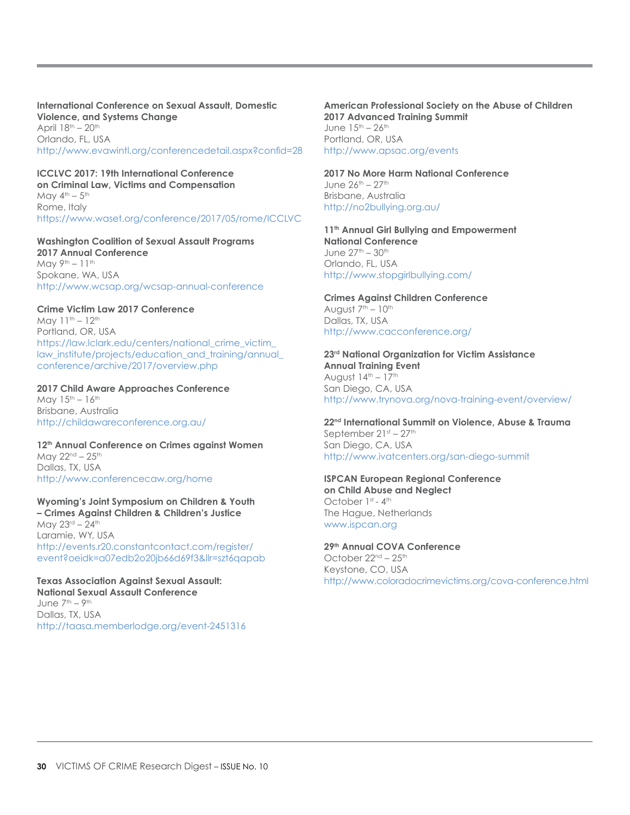**International Conference on Sexual Assault, Domestic Violence, and Systems Change** April  $18<sup>th</sup> - 20<sup>th</sup>$ Orlando, FL, USA <http://www.evawintl.org/conferencedetail.aspx?confid=28>

**ICCLVC 2017: 19th International Conference on Criminal Law, Victims and Compensation** May  $4^{\text{th}} - 5^{\text{th}}$ Rome, Italy <https://www.waset.org/conference/2017/05/rome/ICCLVC>

**Washington Coalition of Sexual Assault Programs 2017 Annual Conference**  May  $9<sup>th</sup> - 11<sup>th</sup>$ Spokane, WA, USA <http://www.wcsap.org/wcsap-annual-conference>

**Crime Victim Law 2017 Conference** May  $11^{th} - 12^{th}$ Portland, OR, USA

[https://law.lclark.edu/centers/national\\_crime\\_victim\\_](https://law.lclark.edu/centers/national_crime_victim_law_institute/projects/education_and_training/annual_conference/archive/2017/overview.php) [law\\_institute/projects/education\\_and\\_training/annual\\_](https://law.lclark.edu/centers/national_crime_victim_law_institute/projects/education_and_training/annual_conference/archive/2017/overview.php) [conference/archive/2017/overview.php](https://law.lclark.edu/centers/national_crime_victim_law_institute/projects/education_and_training/annual_conference/archive/2017/overview.php)

**2017 Child Aware Approaches Conference**

May  $15^{th} - 16^{th}$ Brisbane, Australia <http://childawareconference.org.au/>

**12th Annual Conference on Crimes against Women** May  $22^{nd} - 25^{th}$ Dallas, TX, USA <http://www.conferencecaw.org/home>

**Wyoming's Joint Symposium on Children & Youth – Crimes Against Children & Children's Justice** May 23rd - 24th Laramie, WY, USA [http://events.r20.constantcontact.com/register/](http://events.r20.constantcontact.com/register/event?oeidk=a07edb2o20jb66d69f3&llr=szt6qapab) [event?oeidk=a07edb2o20jb66d69f3&llr=szt6qapab](http://events.r20.constantcontact.com/register/event?oeidk=a07edb2o20jb66d69f3&llr=szt6qapab)

**Texas Association Against Sexual Assault: National Sexual Assault Conference** June  $7<sup>th</sup> - 9<sup>th</sup>$ Dallas, TX, USA <http://taasa.memberlodge.org/event-2451316> **American Professional Society on the Abuse of Children 2017 Advanced Training Summit** June  $15^{th} - 26^{th}$ Portland, OR, USA <http://www.apsac.org/events>

**2017 No More Harm National Conference** June  $26^{th} - 27^{th}$ Brisbane, Australia <http://no2bullying.org.au/>

11<sup>th</sup> Annual Girl Bullying and Empowerment **National Conference** June  $27^{th} - 30^{th}$ Orlando, FL, USA <http://www.stopgirlbullying.com/>

**Crimes Against Children Conference**  August  $7<sup>th</sup> - 10<sup>th</sup>$ Dallas, TX, USA <http://www.cacconference.org/>

**23rd National Organization for Victim Assistance Annual Training Event**  August  $14<sup>th</sup> - 17<sup>th</sup>$ San Diego, CA, USA <http://www.trynova.org/nova-training-event/overview/>

**22nd International Summit on Violence, Abuse & Trauma** September 21st - 27th San Diego, CA, USA <http://www.ivatcenters.org/san-diego-summit>

**ISPCAN European Regional Conference on Child Abuse and Neglect**  October 1st - 4th The Hague, Netherlands [www.ispcan.org](http://www.ispcan.org)

**29th Annual COVA Conference** October 22<sup>nd</sup> – 25<sup>th</sup> Keystone, CO, USA <http://www.coloradocrimevictims.org/cova-conference.html>